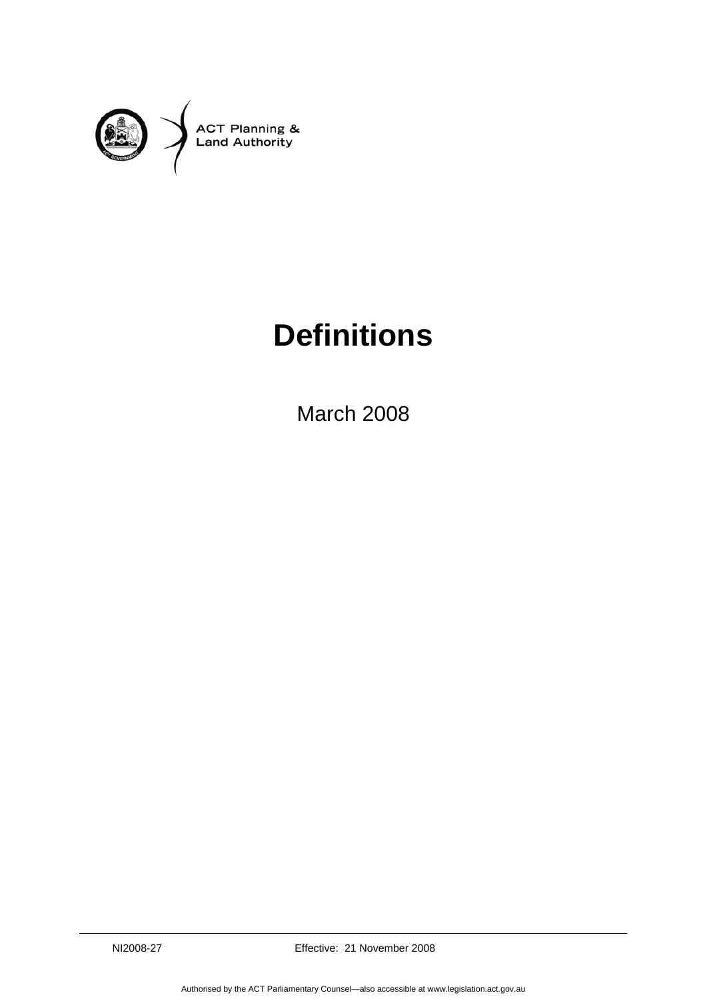

## **Definitions**

March 2008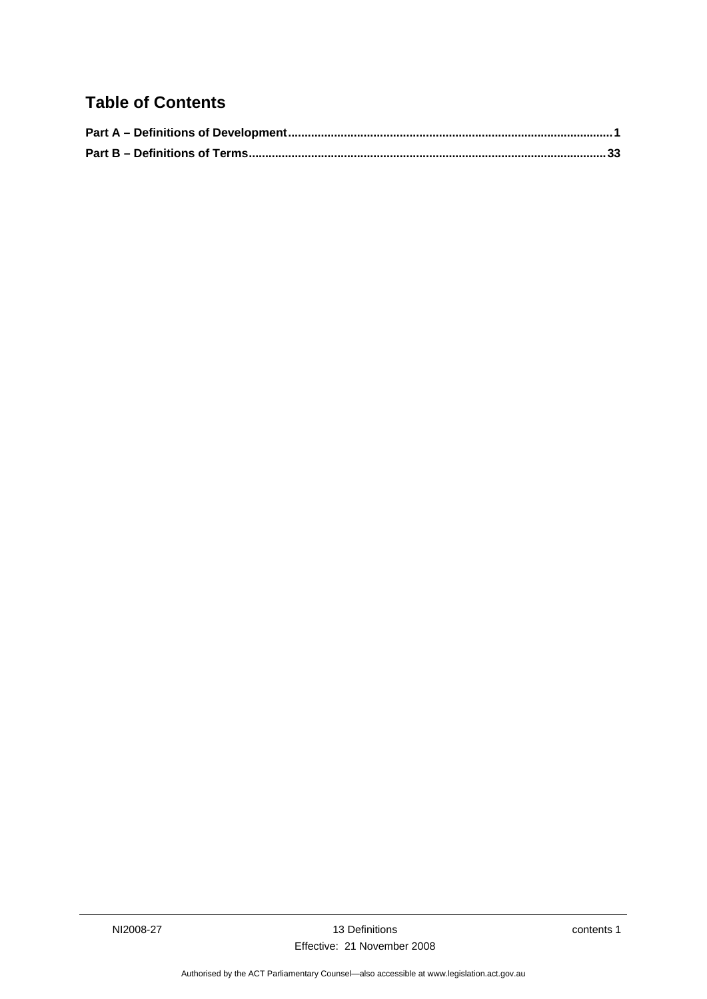## **Table of Contents**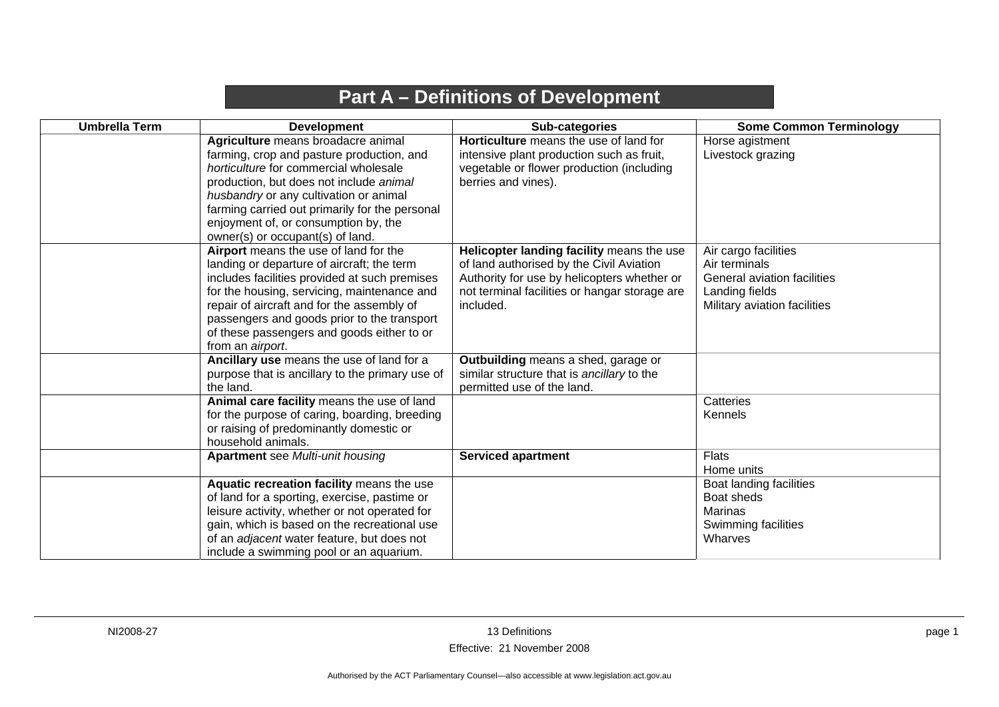## **Part A – Definitions of Development**

<span id="page-4-0"></span>

| <b>Umbrella Term</b> | <b>Development</b>                                                                                                                                                                                                                                                                                                                                 | Sub-categories                                                                                                                                                                                     | <b>Some Common Terminology</b>                                                                                         |
|----------------------|----------------------------------------------------------------------------------------------------------------------------------------------------------------------------------------------------------------------------------------------------------------------------------------------------------------------------------------------------|----------------------------------------------------------------------------------------------------------------------------------------------------------------------------------------------------|------------------------------------------------------------------------------------------------------------------------|
|                      | Agriculture means broadacre animal<br>farming, crop and pasture production, and<br>horticulture for commercial wholesale<br>production, but does not include animal<br>husbandry or any cultivation or animal<br>farming carried out primarily for the personal<br>enjoyment of, or consumption by, the<br>owner(s) or occupant(s) of land.        | <b>Horticulture</b> means the use of land for<br>intensive plant production such as fruit,<br>vegetable or flower production (including<br>berries and vines).                                     | Horse agistment<br>Livestock grazing                                                                                   |
|                      | Airport means the use of land for the<br>landing or departure of aircraft; the term<br>includes facilities provided at such premises<br>for the housing, servicing, maintenance and<br>repair of aircraft and for the assembly of<br>passengers and goods prior to the transport<br>of these passengers and goods either to or<br>from an airport. | Helicopter landing facility means the use<br>of land authorised by the Civil Aviation<br>Authority for use by helicopters whether or<br>not terminal facilities or hangar storage are<br>included. | Air cargo facilities<br>Air terminals<br>General aviation facilities<br>Landing fields<br>Military aviation facilities |
|                      | Ancillary use means the use of land for a<br>purpose that is ancillary to the primary use of<br>the land.                                                                                                                                                                                                                                          | Outbuilding means a shed, garage or<br>similar structure that is ancillary to the<br>permitted use of the land.                                                                                    |                                                                                                                        |
|                      | Animal care facility means the use of land<br>for the purpose of caring, boarding, breeding<br>or raising of predominantly domestic or<br>household animals.                                                                                                                                                                                       |                                                                                                                                                                                                    | Catteries<br><b>Kennels</b>                                                                                            |
|                      | <b>Apartment</b> see Multi-unit housing                                                                                                                                                                                                                                                                                                            | <b>Serviced apartment</b>                                                                                                                                                                          | <b>Flats</b><br>Home units                                                                                             |
|                      | Aquatic recreation facility means the use<br>of land for a sporting, exercise, pastime or<br>leisure activity, whether or not operated for<br>gain, which is based on the recreational use<br>of an adjacent water feature, but does not<br>include a swimming pool or an aquarium.                                                                |                                                                                                                                                                                                    | Boat landing facilities<br>Boat sheds<br>Marinas<br>Swimming facilities<br>Wharves                                     |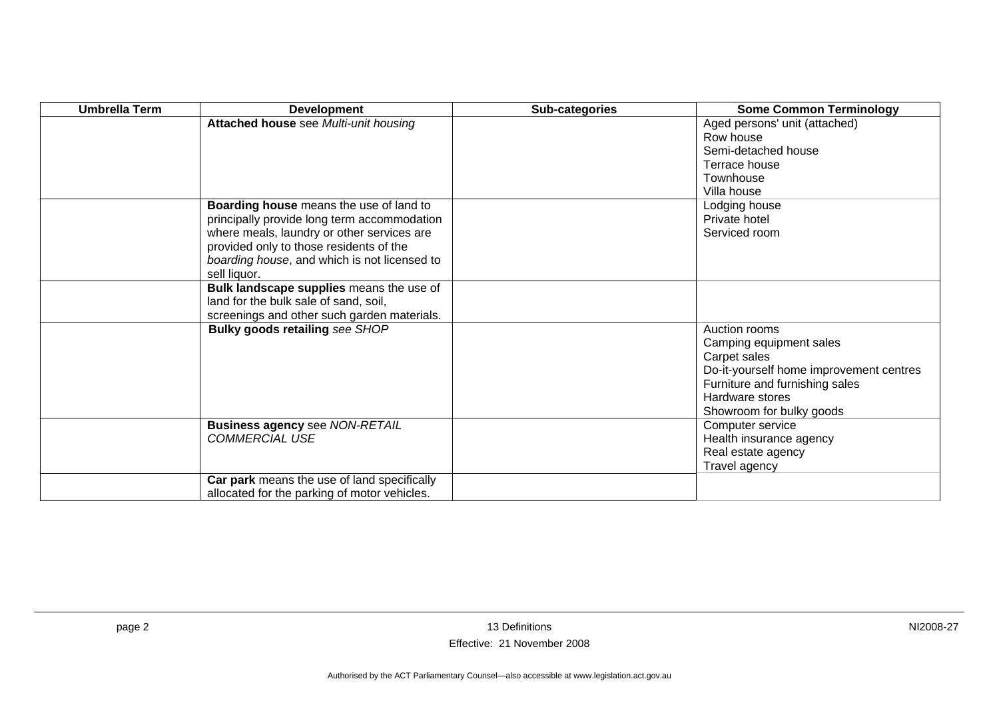| <b>Umbrella Term</b> | <b>Development</b>                                             | Sub-categories | <b>Some Common Terminology</b>                    |
|----------------------|----------------------------------------------------------------|----------------|---------------------------------------------------|
|                      | Attached house see Multi-unit housing                          |                | Aged persons' unit (attached)                     |
|                      |                                                                |                | Row house                                         |
|                      |                                                                |                | Semi-detached house                               |
|                      |                                                                |                | Terrace house                                     |
|                      |                                                                |                | Townhouse                                         |
|                      |                                                                |                | Villa house                                       |
|                      | Boarding house means the use of land to                        |                | Lodging house                                     |
|                      | principally provide long term accommodation                    |                | Private hotel                                     |
|                      | where meals, laundry or other services are                     |                | Serviced room                                     |
|                      | provided only to those residents of the                        |                |                                                   |
|                      | boarding house, and which is not licensed to                   |                |                                                   |
|                      | sell liquor.                                                   |                |                                                   |
|                      | Bulk landscape supplies means the use of                       |                |                                                   |
|                      | land for the bulk sale of sand, soil,                          |                |                                                   |
|                      | screenings and other such garden materials.                    |                |                                                   |
|                      | <b>Bulky goods retailing see SHOP</b>                          |                | Auction rooms                                     |
|                      |                                                                |                | Camping equipment sales                           |
|                      |                                                                |                | Carpet sales                                      |
|                      |                                                                |                | Do-it-yourself home improvement centres           |
|                      |                                                                |                | Furniture and furnishing sales<br>Hardware stores |
|                      |                                                                |                |                                                   |
|                      |                                                                |                | Showroom for bulky goods<br>Computer service      |
|                      | <b>Business agency see NON-RETAIL</b><br><b>COMMERCIAL USE</b> |                |                                                   |
|                      |                                                                |                | Health insurance agency<br>Real estate agency     |
|                      |                                                                |                |                                                   |
|                      | Car park means the use of land specifically                    |                | Travel agency                                     |
|                      | allocated for the parking of motor vehicles.                   |                |                                                   |
|                      |                                                                |                |                                                   |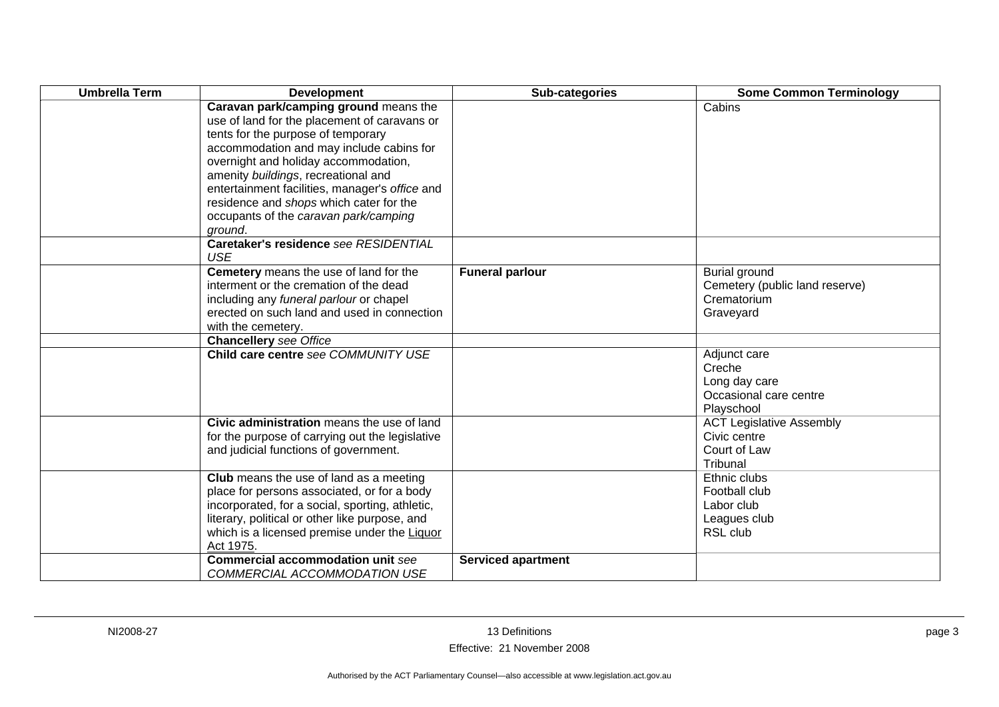| <b>Umbrella Term</b> | <b>Development</b>                                                                                                                                                                                                                                                                                                                                                                                      | Sub-categories            | <b>Some Common Terminology</b>                                                  |
|----------------------|---------------------------------------------------------------------------------------------------------------------------------------------------------------------------------------------------------------------------------------------------------------------------------------------------------------------------------------------------------------------------------------------------------|---------------------------|---------------------------------------------------------------------------------|
|                      | Caravan park/camping ground means the<br>use of land for the placement of caravans or<br>tents for the purpose of temporary<br>accommodation and may include cabins for<br>overnight and holiday accommodation,<br>amenity buildings, recreational and<br>entertainment facilities, manager's office and<br>residence and shops which cater for the<br>occupants of the caravan park/camping<br>ground. |                           | Cabins                                                                          |
|                      | Caretaker's residence see RESIDENTIAL<br><b>USE</b>                                                                                                                                                                                                                                                                                                                                                     |                           |                                                                                 |
|                      | Cemetery means the use of land for the<br>interment or the cremation of the dead<br>including any funeral parlour or chapel<br>erected on such land and used in connection<br>with the cemetery.                                                                                                                                                                                                        | <b>Funeral parlour</b>    | Burial ground<br>Cemetery (public land reserve)<br>Crematorium<br>Graveyard     |
|                      | <b>Chancellery</b> see Office                                                                                                                                                                                                                                                                                                                                                                           |                           |                                                                                 |
|                      | Child care centre see COMMUNITY USE                                                                                                                                                                                                                                                                                                                                                                     |                           | Adjunct care<br>Creche<br>Long day care<br>Occasional care centre<br>Playschool |
|                      | Civic administration means the use of land<br>for the purpose of carrying out the legislative<br>and judicial functions of government.                                                                                                                                                                                                                                                                  |                           | <b>ACT Legislative Assembly</b><br>Civic centre<br>Court of Law<br>Tribunal     |
|                      | <b>Club</b> means the use of land as a meeting<br>place for persons associated, or for a body<br>incorporated, for a social, sporting, athletic,<br>literary, political or other like purpose, and<br>which is a licensed premise under the Liquor<br>Act 1975.                                                                                                                                         |                           | Ethnic clubs<br>Football club<br>Labor club<br>Leagues club<br>RSL club         |
|                      | <b>Commercial accommodation unit see</b><br>COMMERCIAL ACCOMMODATION USE                                                                                                                                                                                                                                                                                                                                | <b>Serviced apartment</b> |                                                                                 |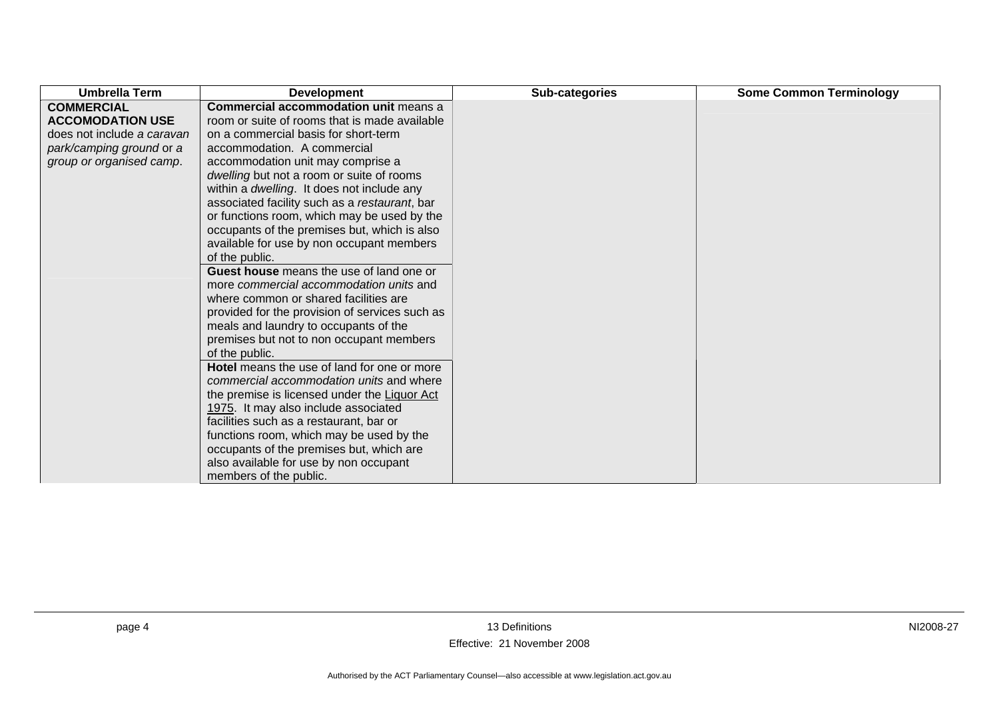| <b>Umbrella Term</b>       | <b>Development</b>                             | Sub-categories | <b>Some Common Terminology</b> |
|----------------------------|------------------------------------------------|----------------|--------------------------------|
| <b>COMMERCIAL</b>          | <b>Commercial accommodation unit means a</b>   |                |                                |
| <b>ACCOMODATION USE</b>    | room or suite of rooms that is made available  |                |                                |
| does not include a caravan | on a commercial basis for short-term           |                |                                |
| park/camping ground or a   | accommodation. A commercial                    |                |                                |
| group or organised camp.   | accommodation unit may comprise a              |                |                                |
|                            | dwelling but not a room or suite of rooms      |                |                                |
|                            | within a dwelling. It does not include any     |                |                                |
|                            | associated facility such as a restaurant, bar  |                |                                |
|                            | or functions room, which may be used by the    |                |                                |
|                            | occupants of the premises but, which is also   |                |                                |
|                            | available for use by non occupant members      |                |                                |
|                            | of the public.                                 |                |                                |
|                            | Guest house means the use of land one or       |                |                                |
|                            | more commercial accommodation units and        |                |                                |
|                            | where common or shared facilities are          |                |                                |
|                            | provided for the provision of services such as |                |                                |
|                            | meals and laundry to occupants of the          |                |                                |
|                            | premises but not to non occupant members       |                |                                |
|                            | of the public.                                 |                |                                |
|                            | Hotel means the use of land for one or more    |                |                                |
|                            | commercial accommodation units and where       |                |                                |
|                            | the premise is licensed under the Liquor Act   |                |                                |
|                            | 1975. It may also include associated           |                |                                |
|                            | facilities such as a restaurant, bar or        |                |                                |
|                            | functions room, which may be used by the       |                |                                |
|                            | occupants of the premises but, which are       |                |                                |
|                            | also available for use by non occupant         |                |                                |
|                            | members of the public.                         |                |                                |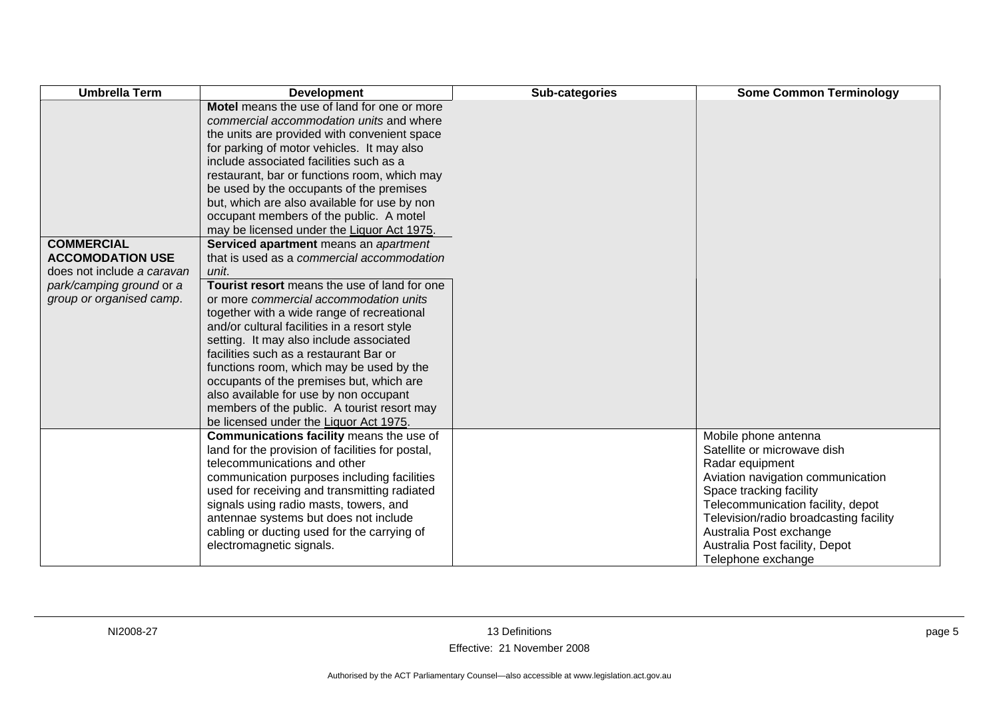| <b>Umbrella Term</b>                                                                                                               | <b>Development</b>                                                                                                                                                                                                                                                                                                                                                                                                                                                                                                                                                                                                                                                                                                                                                                                                                                                                                                                                                                                                                                                            | Sub-categories | <b>Some Common Terminology</b>                                                                                                                                                                                                                                                                           |
|------------------------------------------------------------------------------------------------------------------------------------|-------------------------------------------------------------------------------------------------------------------------------------------------------------------------------------------------------------------------------------------------------------------------------------------------------------------------------------------------------------------------------------------------------------------------------------------------------------------------------------------------------------------------------------------------------------------------------------------------------------------------------------------------------------------------------------------------------------------------------------------------------------------------------------------------------------------------------------------------------------------------------------------------------------------------------------------------------------------------------------------------------------------------------------------------------------------------------|----------------|----------------------------------------------------------------------------------------------------------------------------------------------------------------------------------------------------------------------------------------------------------------------------------------------------------|
| <b>COMMERCIAL</b><br><b>ACCOMODATION USE</b><br>does not include a caravan<br>park/camping ground or a<br>group or organised camp. | Motel means the use of land for one or more<br>commercial accommodation units and where<br>the units are provided with convenient space<br>for parking of motor vehicles. It may also<br>include associated facilities such as a<br>restaurant, bar or functions room, which may<br>be used by the occupants of the premises<br>but, which are also available for use by non<br>occupant members of the public. A motel<br>may be licensed under the Liquor Act 1975.<br>Serviced apartment means an apartment<br>that is used as a commercial accommodation<br>unit.<br>Tourist resort means the use of land for one<br>or more commercial accommodation units<br>together with a wide range of recreational<br>and/or cultural facilities in a resort style<br>setting. It may also include associated<br>facilities such as a restaurant Bar or<br>functions room, which may be used by the<br>occupants of the premises but, which are<br>also available for use by non occupant<br>members of the public. A tourist resort may<br>be licensed under the Liquor Act 1975. |                |                                                                                                                                                                                                                                                                                                          |
|                                                                                                                                    | Communications facility means the use of<br>land for the provision of facilities for postal,<br>telecommunications and other<br>communication purposes including facilities<br>used for receiving and transmitting radiated<br>signals using radio masts, towers, and<br>antennae systems but does not include<br>cabling or ducting used for the carrying of<br>electromagnetic signals.                                                                                                                                                                                                                                                                                                                                                                                                                                                                                                                                                                                                                                                                                     |                | Mobile phone antenna<br>Satellite or microwave dish<br>Radar equipment<br>Aviation navigation communication<br>Space tracking facility<br>Telecommunication facility, depot<br>Television/radio broadcasting facility<br>Australia Post exchange<br>Australia Post facility, Depot<br>Telephone exchange |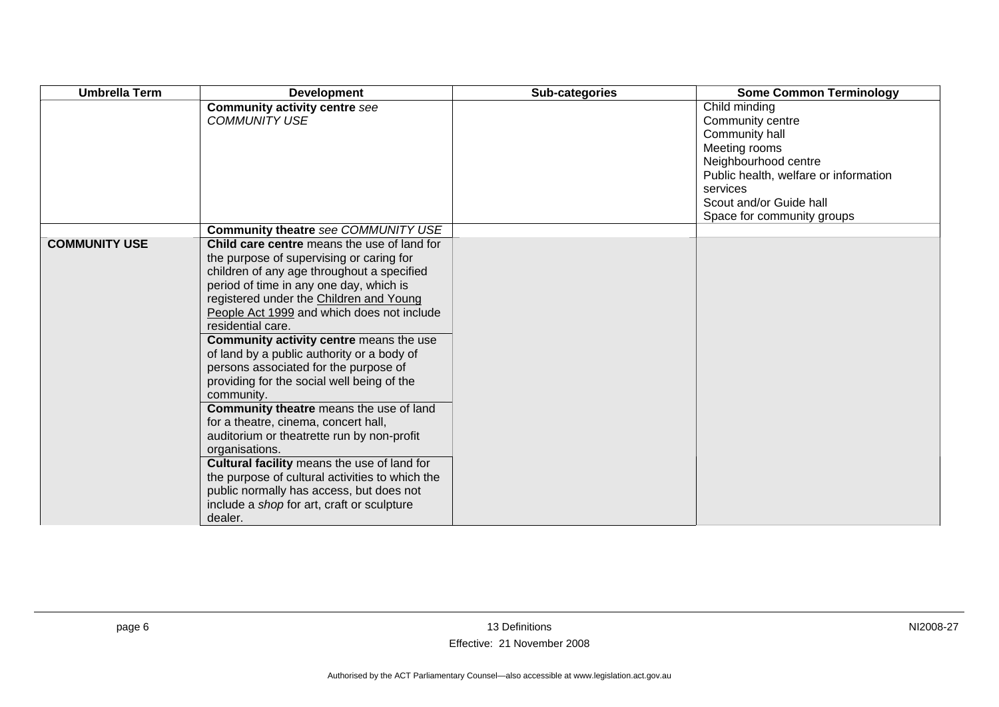| <b>Umbrella Term</b> | <b>Development</b>                                                                                                                                                                                                                                                                                                                                                                                                                                                                                                                                                                                                                                                                                                                                                                                                                                     | Sub-categories | <b>Some Common Terminology</b>                                                                                                                                                                             |
|----------------------|--------------------------------------------------------------------------------------------------------------------------------------------------------------------------------------------------------------------------------------------------------------------------------------------------------------------------------------------------------------------------------------------------------------------------------------------------------------------------------------------------------------------------------------------------------------------------------------------------------------------------------------------------------------------------------------------------------------------------------------------------------------------------------------------------------------------------------------------------------|----------------|------------------------------------------------------------------------------------------------------------------------------------------------------------------------------------------------------------|
|                      | <b>Community activity centre see</b><br><b>COMMUNITY USE</b>                                                                                                                                                                                                                                                                                                                                                                                                                                                                                                                                                                                                                                                                                                                                                                                           |                | Child minding<br>Community centre<br>Community hall<br>Meeting rooms<br>Neighbourhood centre<br>Public health, welfare or information<br>services<br>Scout and/or Guide hall<br>Space for community groups |
|                      | Community theatre see COMMUNITY USE                                                                                                                                                                                                                                                                                                                                                                                                                                                                                                                                                                                                                                                                                                                                                                                                                    |                |                                                                                                                                                                                                            |
| <b>COMMUNITY USE</b> | Child care centre means the use of land for<br>the purpose of supervising or caring for<br>children of any age throughout a specified<br>period of time in any one day, which is<br>registered under the Children and Young<br>People Act 1999 and which does not include<br>residential care.<br>Community activity centre means the use<br>of land by a public authority or a body of<br>persons associated for the purpose of<br>providing for the social well being of the<br>community.<br>Community theatre means the use of land<br>for a theatre, cinema, concert hall,<br>auditorium or theatrette run by non-profit<br>organisations.<br>Cultural facility means the use of land for<br>the purpose of cultural activities to which the<br>public normally has access, but does not<br>include a shop for art, craft or sculpture<br>dealer. |                |                                                                                                                                                                                                            |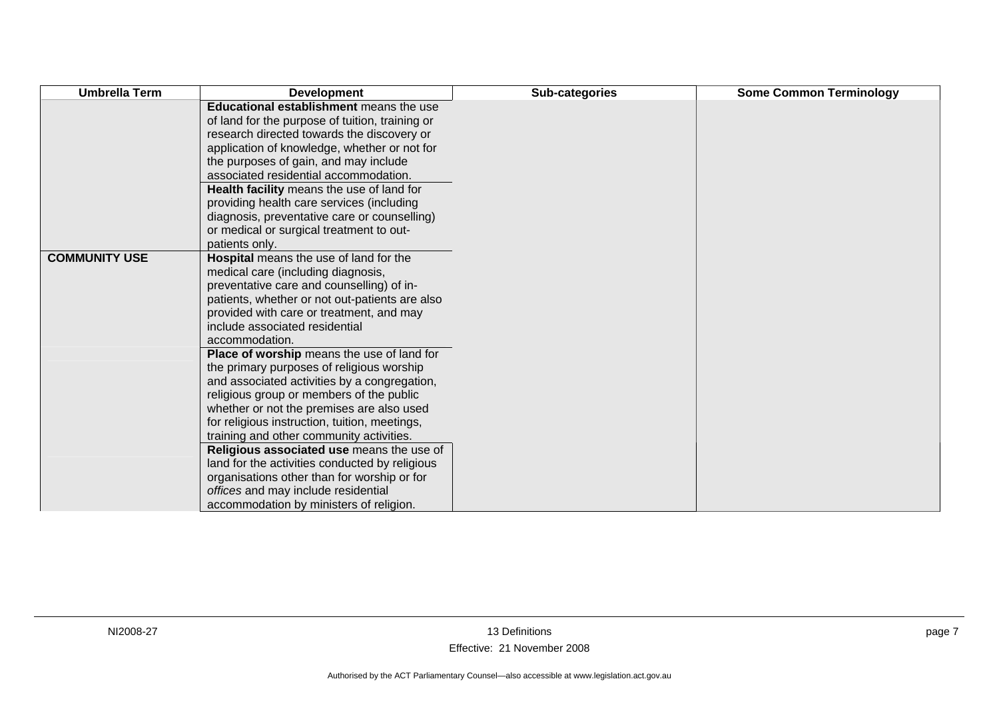| <b>Development</b>                           | Sub-categories                                                                                                                                                                                                                                                                                                                                                                                                                                                                                                                                                                                                                                                                                                                                                                                                                                                                                                                                                                                                                                                                                               | <b>Some Common Terminology</b> |
|----------------------------------------------|--------------------------------------------------------------------------------------------------------------------------------------------------------------------------------------------------------------------------------------------------------------------------------------------------------------------------------------------------------------------------------------------------------------------------------------------------------------------------------------------------------------------------------------------------------------------------------------------------------------------------------------------------------------------------------------------------------------------------------------------------------------------------------------------------------------------------------------------------------------------------------------------------------------------------------------------------------------------------------------------------------------------------------------------------------------------------------------------------------------|--------------------------------|
|                                              |                                                                                                                                                                                                                                                                                                                                                                                                                                                                                                                                                                                                                                                                                                                                                                                                                                                                                                                                                                                                                                                                                                              |                                |
| research directed towards the discovery or   |                                                                                                                                                                                                                                                                                                                                                                                                                                                                                                                                                                                                                                                                                                                                                                                                                                                                                                                                                                                                                                                                                                              |                                |
| application of knowledge, whether or not for |                                                                                                                                                                                                                                                                                                                                                                                                                                                                                                                                                                                                                                                                                                                                                                                                                                                                                                                                                                                                                                                                                                              |                                |
| the purposes of gain, and may include        |                                                                                                                                                                                                                                                                                                                                                                                                                                                                                                                                                                                                                                                                                                                                                                                                                                                                                                                                                                                                                                                                                                              |                                |
| associated residential accommodation.        |                                                                                                                                                                                                                                                                                                                                                                                                                                                                                                                                                                                                                                                                                                                                                                                                                                                                                                                                                                                                                                                                                                              |                                |
| Health facility means the use of land for    |                                                                                                                                                                                                                                                                                                                                                                                                                                                                                                                                                                                                                                                                                                                                                                                                                                                                                                                                                                                                                                                                                                              |                                |
|                                              |                                                                                                                                                                                                                                                                                                                                                                                                                                                                                                                                                                                                                                                                                                                                                                                                                                                                                                                                                                                                                                                                                                              |                                |
|                                              |                                                                                                                                                                                                                                                                                                                                                                                                                                                                                                                                                                                                                                                                                                                                                                                                                                                                                                                                                                                                                                                                                                              |                                |
|                                              |                                                                                                                                                                                                                                                                                                                                                                                                                                                                                                                                                                                                                                                                                                                                                                                                                                                                                                                                                                                                                                                                                                              |                                |
|                                              |                                                                                                                                                                                                                                                                                                                                                                                                                                                                                                                                                                                                                                                                                                                                                                                                                                                                                                                                                                                                                                                                                                              |                                |
|                                              |                                                                                                                                                                                                                                                                                                                                                                                                                                                                                                                                                                                                                                                                                                                                                                                                                                                                                                                                                                                                                                                                                                              |                                |
|                                              |                                                                                                                                                                                                                                                                                                                                                                                                                                                                                                                                                                                                                                                                                                                                                                                                                                                                                                                                                                                                                                                                                                              |                                |
|                                              |                                                                                                                                                                                                                                                                                                                                                                                                                                                                                                                                                                                                                                                                                                                                                                                                                                                                                                                                                                                                                                                                                                              |                                |
|                                              |                                                                                                                                                                                                                                                                                                                                                                                                                                                                                                                                                                                                                                                                                                                                                                                                                                                                                                                                                                                                                                                                                                              |                                |
|                                              |                                                                                                                                                                                                                                                                                                                                                                                                                                                                                                                                                                                                                                                                                                                                                                                                                                                                                                                                                                                                                                                                                                              |                                |
|                                              |                                                                                                                                                                                                                                                                                                                                                                                                                                                                                                                                                                                                                                                                                                                                                                                                                                                                                                                                                                                                                                                                                                              |                                |
|                                              |                                                                                                                                                                                                                                                                                                                                                                                                                                                                                                                                                                                                                                                                                                                                                                                                                                                                                                                                                                                                                                                                                                              |                                |
|                                              |                                                                                                                                                                                                                                                                                                                                                                                                                                                                                                                                                                                                                                                                                                                                                                                                                                                                                                                                                                                                                                                                                                              |                                |
|                                              |                                                                                                                                                                                                                                                                                                                                                                                                                                                                                                                                                                                                                                                                                                                                                                                                                                                                                                                                                                                                                                                                                                              |                                |
|                                              |                                                                                                                                                                                                                                                                                                                                                                                                                                                                                                                                                                                                                                                                                                                                                                                                                                                                                                                                                                                                                                                                                                              |                                |
|                                              |                                                                                                                                                                                                                                                                                                                                                                                                                                                                                                                                                                                                                                                                                                                                                                                                                                                                                                                                                                                                                                                                                                              |                                |
|                                              |                                                                                                                                                                                                                                                                                                                                                                                                                                                                                                                                                                                                                                                                                                                                                                                                                                                                                                                                                                                                                                                                                                              |                                |
|                                              |                                                                                                                                                                                                                                                                                                                                                                                                                                                                                                                                                                                                                                                                                                                                                                                                                                                                                                                                                                                                                                                                                                              |                                |
|                                              |                                                                                                                                                                                                                                                                                                                                                                                                                                                                                                                                                                                                                                                                                                                                                                                                                                                                                                                                                                                                                                                                                                              |                                |
|                                              |                                                                                                                                                                                                                                                                                                                                                                                                                                                                                                                                                                                                                                                                                                                                                                                                                                                                                                                                                                                                                                                                                                              |                                |
|                                              |                                                                                                                                                                                                                                                                                                                                                                                                                                                                                                                                                                                                                                                                                                                                                                                                                                                                                                                                                                                                                                                                                                              |                                |
|                                              |                                                                                                                                                                                                                                                                                                                                                                                                                                                                                                                                                                                                                                                                                                                                                                                                                                                                                                                                                                                                                                                                                                              |                                |
|                                              |                                                                                                                                                                                                                                                                                                                                                                                                                                                                                                                                                                                                                                                                                                                                                                                                                                                                                                                                                                                                                                                                                                              |                                |
|                                              | Educational establishment means the use<br>of land for the purpose of tuition, training or<br>providing health care services (including<br>diagnosis, preventative care or counselling)<br>or medical or surgical treatment to out-<br>patients only.<br><b>Hospital</b> means the use of land for the<br>medical care (including diagnosis,<br>preventative care and counselling) of in-<br>patients, whether or not out-patients are also<br>provided with care or treatment, and may<br>include associated residential<br>accommodation.<br>Place of worship means the use of land for<br>the primary purposes of religious worship<br>and associated activities by a congregation,<br>religious group or members of the public<br>whether or not the premises are also used<br>for religious instruction, tuition, meetings,<br>training and other community activities.<br>Religious associated use means the use of<br>land for the activities conducted by religious<br>organisations other than for worship or for<br>offices and may include residential<br>accommodation by ministers of religion. |                                |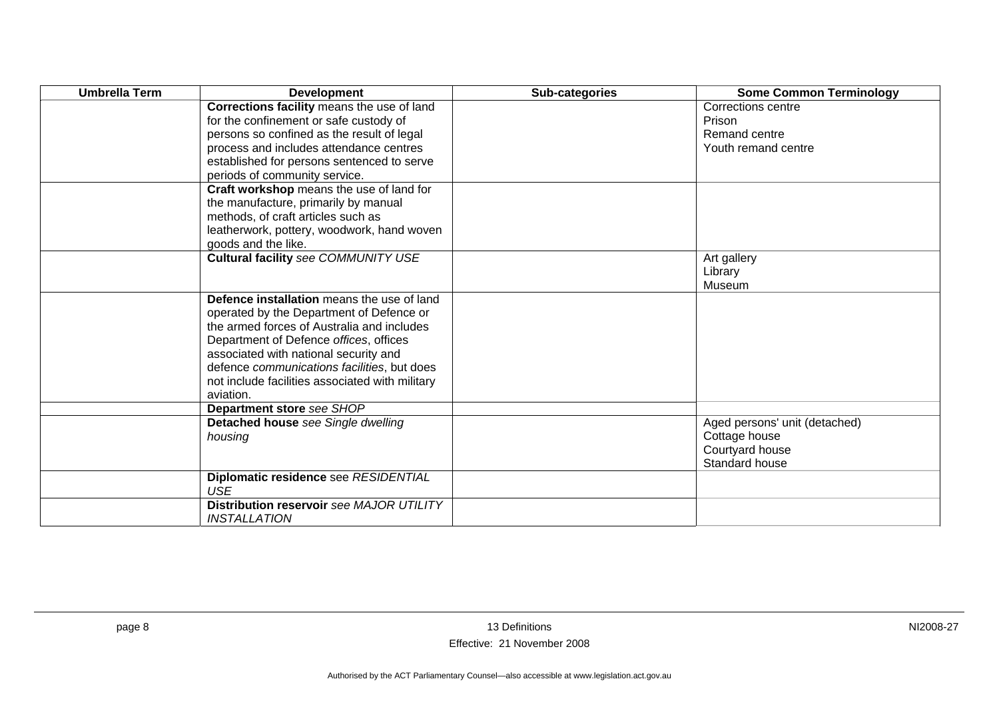| <b>Umbrella Term</b> | <b>Development</b>                              | Sub-categories | <b>Some Common Terminology</b> |
|----------------------|-------------------------------------------------|----------------|--------------------------------|
|                      | Corrections facility means the use of land      |                | Corrections centre             |
|                      | for the confinement or safe custody of          |                | Prison                         |
|                      | persons so confined as the result of legal      |                | Remand centre                  |
|                      | process and includes attendance centres         |                | Youth remand centre            |
|                      | established for persons sentenced to serve      |                |                                |
|                      | periods of community service.                   |                |                                |
|                      | Craft workshop means the use of land for        |                |                                |
|                      | the manufacture, primarily by manual            |                |                                |
|                      | methods, of craft articles such as              |                |                                |
|                      | leatherwork, pottery, woodwork, hand woven      |                |                                |
|                      | goods and the like.                             |                |                                |
|                      | Cultural facility see COMMUNITY USE             |                | Art gallery                    |
|                      |                                                 |                | Library                        |
|                      |                                                 |                | Museum                         |
|                      | Defence installation means the use of land      |                |                                |
|                      | operated by the Department of Defence or        |                |                                |
|                      | the armed forces of Australia and includes      |                |                                |
|                      | Department of Defence offices, offices          |                |                                |
|                      | associated with national security and           |                |                                |
|                      | defence communications facilities, but does     |                |                                |
|                      | not include facilities associated with military |                |                                |
|                      | aviation.                                       |                |                                |
|                      | Department store see SHOP                       |                |                                |
|                      | Detached house see Single dwelling              |                | Aged persons' unit (detached)  |
|                      | housing                                         |                | Cottage house                  |
|                      |                                                 |                | Courtyard house                |
|                      |                                                 |                | Standard house                 |
|                      | Diplomatic residence see RESIDENTIAL            |                |                                |
|                      | <b>USE</b>                                      |                |                                |
|                      | Distribution reservoir see MAJOR UTILITY        |                |                                |
|                      | <b>INSTALLATION</b>                             |                |                                |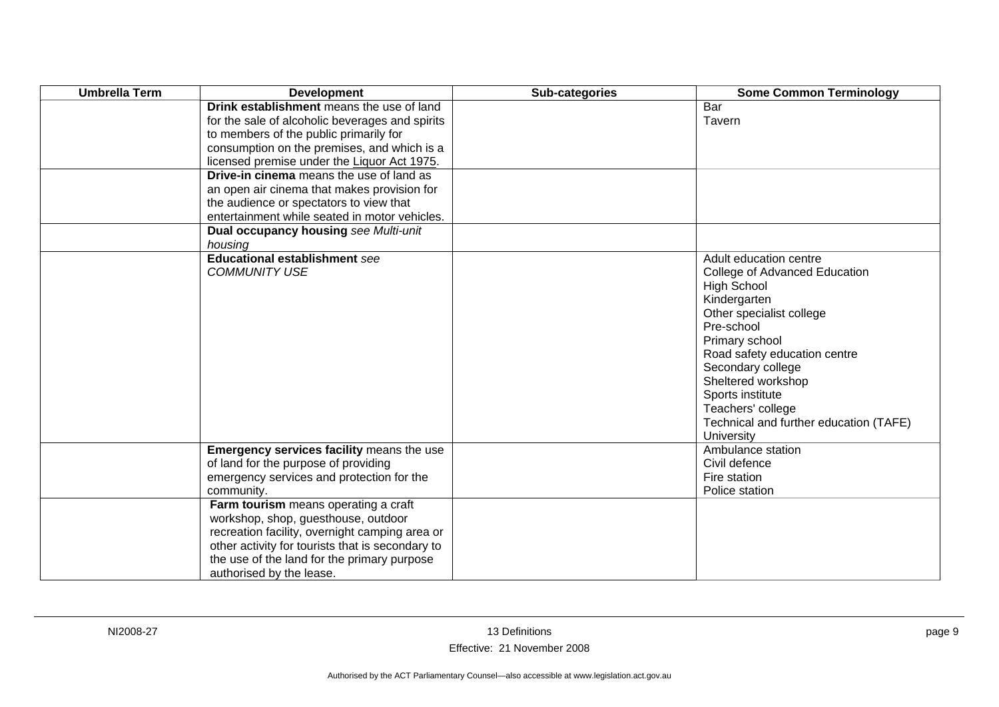| <b>Umbrella Term</b> | <b>Development</b>                                                                                                                                                                                                                                                                      | Sub-categories | <b>Some Common Terminology</b>                                                                                                                                                                                                                                                                                                        |
|----------------------|-----------------------------------------------------------------------------------------------------------------------------------------------------------------------------------------------------------------------------------------------------------------------------------------|----------------|---------------------------------------------------------------------------------------------------------------------------------------------------------------------------------------------------------------------------------------------------------------------------------------------------------------------------------------|
|                      | Drink establishment means the use of land<br>for the sale of alcoholic beverages and spirits<br>to members of the public primarily for<br>consumption on the premises, and which is a<br>licensed premise under the Liquor Act 1975.<br><b>Drive-in cinema</b> means the use of land as |                | Bar<br>Tavern                                                                                                                                                                                                                                                                                                                         |
|                      | an open air cinema that makes provision for<br>the audience or spectators to view that<br>entertainment while seated in motor vehicles.                                                                                                                                                 |                |                                                                                                                                                                                                                                                                                                                                       |
|                      | Dual occupancy housing see Multi-unit<br>housing                                                                                                                                                                                                                                        |                |                                                                                                                                                                                                                                                                                                                                       |
|                      | <b>Educational establishment see</b><br><b>COMMUNITY USE</b>                                                                                                                                                                                                                            |                | Adult education centre<br>College of Advanced Education<br><b>High School</b><br>Kindergarten<br>Other specialist college<br>Pre-school<br>Primary school<br>Road safety education centre<br>Secondary college<br>Sheltered workshop<br>Sports institute<br>Teachers' college<br>Technical and further education (TAFE)<br>University |
|                      | Emergency services facility means the use<br>of land for the purpose of providing<br>emergency services and protection for the<br>community.                                                                                                                                            |                | Ambulance station<br>Civil defence<br>Fire station<br>Police station                                                                                                                                                                                                                                                                  |
|                      | Farm tourism means operating a craft<br>workshop, shop, guesthouse, outdoor<br>recreation facility, overnight camping area or<br>other activity for tourists that is secondary to<br>the use of the land for the primary purpose<br>authorised by the lease.                            |                |                                                                                                                                                                                                                                                                                                                                       |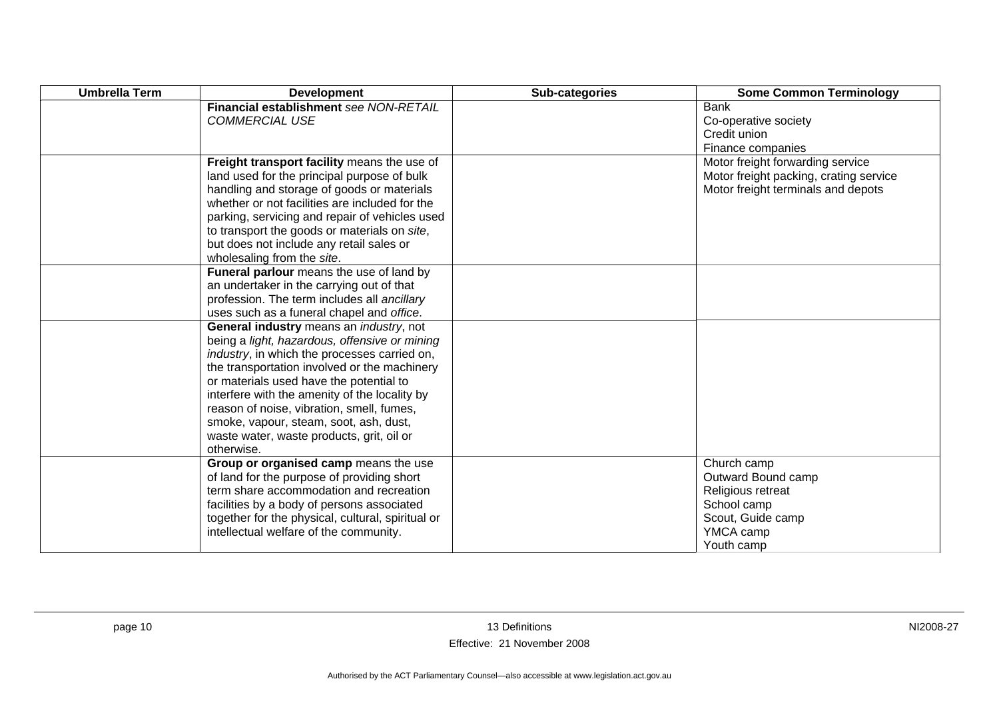| <b>Umbrella Term</b> | <b>Development</b>                                | Sub-categories | <b>Some Common Terminology</b>         |
|----------------------|---------------------------------------------------|----------------|----------------------------------------|
|                      | Financial establishment see NON-RETAIL            |                | <b>Bank</b>                            |
|                      | <b>COMMERCIAL USE</b>                             |                | Co-operative society                   |
|                      |                                                   |                | Credit union                           |
|                      |                                                   |                | Finance companies                      |
|                      | Freight transport facility means the use of       |                | Motor freight forwarding service       |
|                      | land used for the principal purpose of bulk       |                | Motor freight packing, crating service |
|                      | handling and storage of goods or materials        |                | Motor freight terminals and depots     |
|                      | whether or not facilities are included for the    |                |                                        |
|                      | parking, servicing and repair of vehicles used    |                |                                        |
|                      | to transport the goods or materials on site,      |                |                                        |
|                      | but does not include any retail sales or          |                |                                        |
|                      | wholesaling from the site.                        |                |                                        |
|                      | Funeral parlour means the use of land by          |                |                                        |
|                      | an undertaker in the carrying out of that         |                |                                        |
|                      | profession. The term includes all ancillary       |                |                                        |
|                      | uses such as a funeral chapel and office.         |                |                                        |
|                      | General industry means an <i>industry</i> , not   |                |                                        |
|                      | being a light, hazardous, offensive or mining     |                |                                        |
|                      | industry, in which the processes carried on,      |                |                                        |
|                      | the transportation involved or the machinery      |                |                                        |
|                      | or materials used have the potential to           |                |                                        |
|                      | interfere with the amenity of the locality by     |                |                                        |
|                      | reason of noise, vibration, smell, fumes,         |                |                                        |
|                      | smoke, vapour, steam, soot, ash, dust,            |                |                                        |
|                      | waste water, waste products, grit, oil or         |                |                                        |
|                      | otherwise.                                        |                |                                        |
|                      | Group or organised camp means the use             |                | Church camp                            |
|                      | of land for the purpose of providing short        |                | Outward Bound camp                     |
|                      | term share accommodation and recreation           |                | Religious retreat                      |
|                      | facilities by a body of persons associated        |                | School camp                            |
|                      | together for the physical, cultural, spiritual or |                | Scout, Guide camp                      |
|                      | intellectual welfare of the community.            |                | YMCA camp                              |
|                      |                                                   |                | Youth camp                             |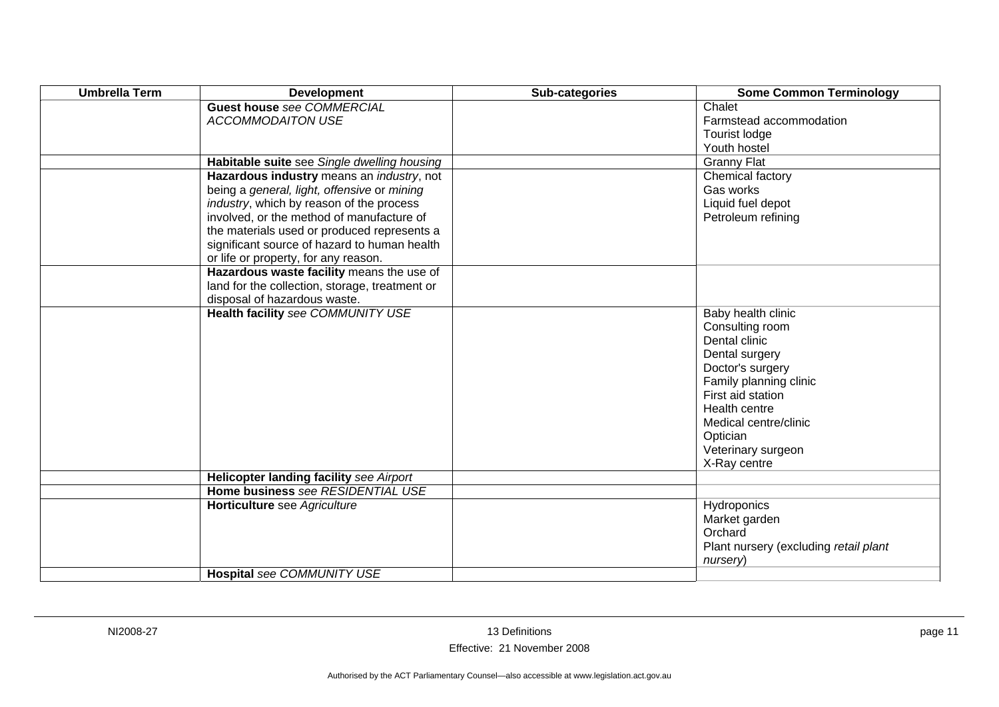| <b>Umbrella Term</b> | <b>Development</b>                                                                                                                                                                                                                                                                                                               | Sub-categories | <b>Some Common Terminology</b>                                                                                                                                                                                                          |
|----------------------|----------------------------------------------------------------------------------------------------------------------------------------------------------------------------------------------------------------------------------------------------------------------------------------------------------------------------------|----------------|-----------------------------------------------------------------------------------------------------------------------------------------------------------------------------------------------------------------------------------------|
|                      | <b>Guest house see COMMERCIAL</b><br><b>ACCOMMODAITON USE</b>                                                                                                                                                                                                                                                                    |                | Chalet<br>Farmstead accommodation<br>Tourist lodge<br>Youth hostel                                                                                                                                                                      |
|                      | Habitable suite see Single dwelling housing                                                                                                                                                                                                                                                                                      |                | <b>Granny Flat</b>                                                                                                                                                                                                                      |
|                      | Hazardous industry means an <i>industry</i> , not<br>being a general, light, offensive or mining<br>industry, which by reason of the process<br>involved, or the method of manufacture of<br>the materials used or produced represents a<br>significant source of hazard to human health<br>or life or property, for any reason. |                | Chemical factory<br>Gas works<br>Liquid fuel depot<br>Petroleum refining                                                                                                                                                                |
|                      | Hazardous waste facility means the use of<br>land for the collection, storage, treatment or<br>disposal of hazardous waste.                                                                                                                                                                                                      |                |                                                                                                                                                                                                                                         |
|                      | Health facility see COMMUNITY USE                                                                                                                                                                                                                                                                                                |                | Baby health clinic<br>Consulting room<br>Dental clinic<br>Dental surgery<br>Doctor's surgery<br>Family planning clinic<br>First aid station<br>Health centre<br>Medical centre/clinic<br>Optician<br>Veterinary surgeon<br>X-Ray centre |
|                      | <b>Helicopter landing facility see Airport</b>                                                                                                                                                                                                                                                                                   |                |                                                                                                                                                                                                                                         |
|                      | Home business see RESIDENTIAL USE<br>Horticulture see Agriculture<br>Hospital see COMMUNITY USE                                                                                                                                                                                                                                  |                | Hydroponics<br>Market garden<br>Orchard<br>Plant nursery (excluding retail plant<br>nursery)                                                                                                                                            |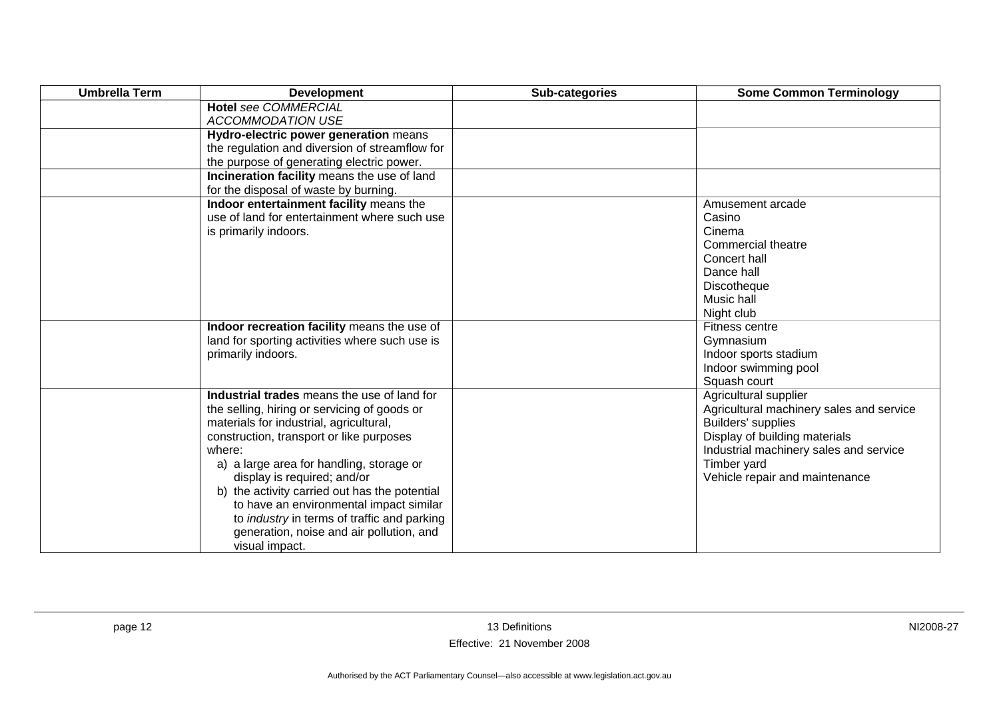| <b>Umbrella Term</b> | <b>Development</b>                                      | Sub-categories | <b>Some Common Terminology</b>           |
|----------------------|---------------------------------------------------------|----------------|------------------------------------------|
|                      | <b>Hotel see COMMERCIAL</b><br><b>ACCOMMODATION USE</b> |                |                                          |
|                      | Hydro-electric power generation means                   |                |                                          |
|                      | the regulation and diversion of streamflow for          |                |                                          |
|                      | the purpose of generating electric power.               |                |                                          |
|                      | Incineration facility means the use of land             |                |                                          |
|                      | for the disposal of waste by burning.                   |                |                                          |
|                      | Indoor entertainment facility means the                 |                | Amusement arcade                         |
|                      | use of land for entertainment where such use            |                | Casino                                   |
|                      | is primarily indoors.                                   |                | Cinema                                   |
|                      |                                                         |                | Commercial theatre                       |
|                      |                                                         |                | Concert hall                             |
|                      |                                                         |                | Dance hall                               |
|                      |                                                         |                | Discotheque                              |
|                      |                                                         |                | Music hall                               |
|                      |                                                         |                | Night club                               |
|                      | Indoor recreation facility means the use of             |                | Fitness centre                           |
|                      | land for sporting activities where such use is          |                | Gymnasium                                |
|                      | primarily indoors.                                      |                | Indoor sports stadium                    |
|                      |                                                         |                | Indoor swimming pool                     |
|                      |                                                         |                | Squash court                             |
|                      | Industrial trades means the use of land for             |                | Agricultural supplier                    |
|                      | the selling, hiring or servicing of goods or            |                | Agricultural machinery sales and service |
|                      | materials for industrial, agricultural,                 |                | Builders' supplies                       |
|                      | construction, transport or like purposes                |                | Display of building materials            |
|                      | where:                                                  |                | Industrial machinery sales and service   |
|                      | a) a large area for handling, storage or                |                | Timber yard                              |
|                      | display is required; and/or                             |                | Vehicle repair and maintenance           |
|                      | b) the activity carried out has the potential           |                |                                          |
|                      | to have an environmental impact similar                 |                |                                          |
|                      | to industry in terms of traffic and parking             |                |                                          |
|                      | generation, noise and air pollution, and                |                |                                          |
|                      | visual impact.                                          |                |                                          |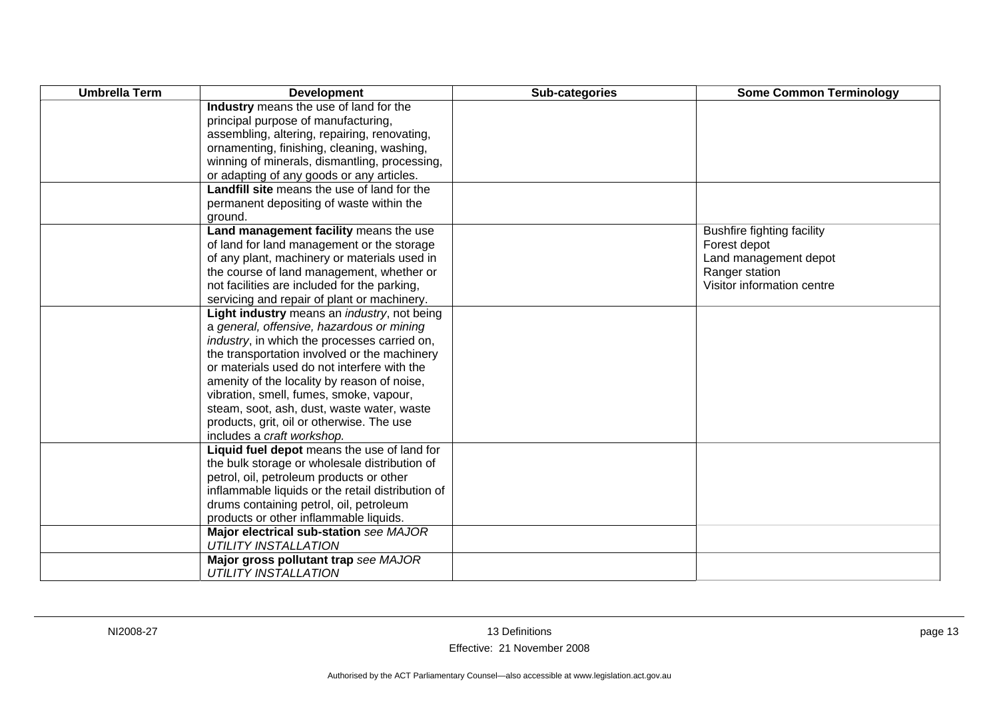| <b>Umbrella Term</b> | <b>Development</b>                                   | Sub-categories | <b>Some Common Terminology</b>    |
|----------------------|------------------------------------------------------|----------------|-----------------------------------|
|                      | Industry means the use of land for the               |                |                                   |
|                      | principal purpose of manufacturing,                  |                |                                   |
|                      | assembling, altering, repairing, renovating,         |                |                                   |
|                      | ornamenting, finishing, cleaning, washing,           |                |                                   |
|                      | winning of minerals, dismantling, processing,        |                |                                   |
|                      | or adapting of any goods or any articles.            |                |                                   |
|                      | <b>Landfill site</b> means the use of land for the   |                |                                   |
|                      | permanent depositing of waste within the             |                |                                   |
|                      | ground.                                              |                |                                   |
|                      | Land management facility means the use               |                | <b>Bushfire fighting facility</b> |
|                      | of land for land management or the storage           |                | Forest depot                      |
|                      | of any plant, machinery or materials used in         |                | Land management depot             |
|                      | the course of land management, whether or            |                | Ranger station                    |
|                      | not facilities are included for the parking,         |                | Visitor information centre        |
|                      | servicing and repair of plant or machinery.          |                |                                   |
|                      | Light industry means an industry, not being          |                |                                   |
|                      | a general, offensive, hazardous or mining            |                |                                   |
|                      | <i>industry</i> , in which the processes carried on, |                |                                   |
|                      | the transportation involved or the machinery         |                |                                   |
|                      | or materials used do not interfere with the          |                |                                   |
|                      | amenity of the locality by reason of noise,          |                |                                   |
|                      | vibration, smell, fumes, smoke, vapour,              |                |                                   |
|                      | steam, soot, ash, dust, waste water, waste           |                |                                   |
|                      | products, grit, oil or otherwise. The use            |                |                                   |
|                      | includes a craft workshop.                           |                |                                   |
|                      | Liquid fuel depot means the use of land for          |                |                                   |
|                      | the bulk storage or wholesale distribution of        |                |                                   |
|                      | petrol, oil, petroleum products or other             |                |                                   |
|                      | inflammable liquids or the retail distribution of    |                |                                   |
|                      | drums containing petrol, oil, petroleum              |                |                                   |
|                      | products or other inflammable liquids.               |                |                                   |
|                      | Major electrical sub-station see MAJOR               |                |                                   |
|                      | <b>UTILITY INSTALLATION</b>                          |                |                                   |
|                      | Major gross pollutant trap see MAJOR                 |                |                                   |
|                      | <b>UTILITY INSTALLATION</b>                          |                |                                   |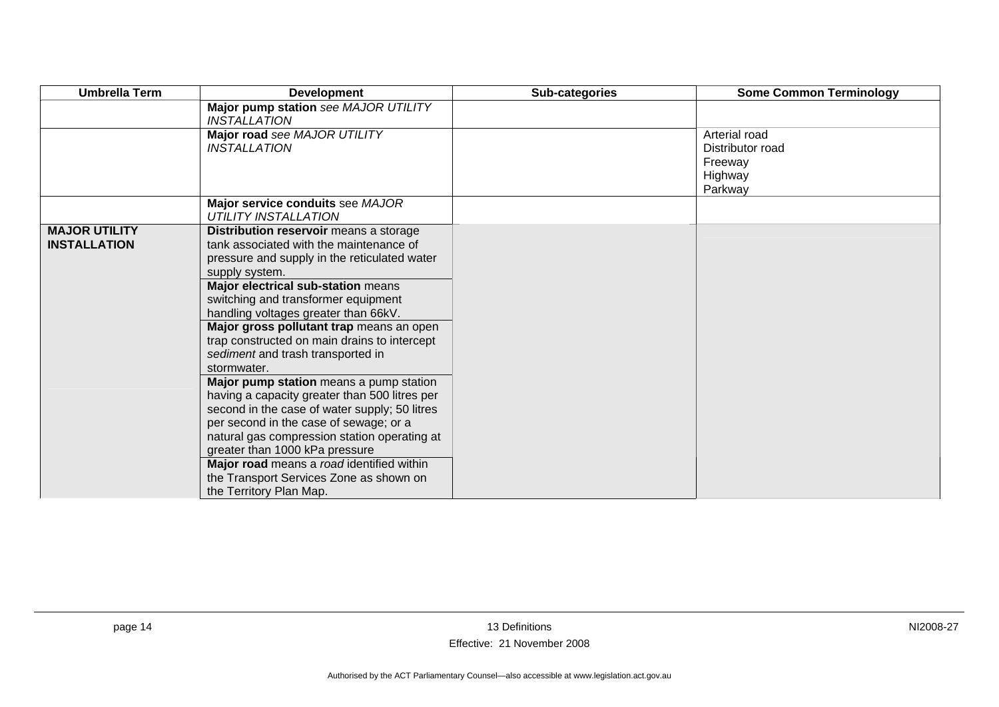| <b>Umbrella Term</b>                        | <b>Development</b>                                                                                                                                                                                                                                                                                                                                                                                                                                                                                                                                                                                                                                                                                                                                                                                                   | Sub-categories | <b>Some Common Terminology</b>                                     |
|---------------------------------------------|----------------------------------------------------------------------------------------------------------------------------------------------------------------------------------------------------------------------------------------------------------------------------------------------------------------------------------------------------------------------------------------------------------------------------------------------------------------------------------------------------------------------------------------------------------------------------------------------------------------------------------------------------------------------------------------------------------------------------------------------------------------------------------------------------------------------|----------------|--------------------------------------------------------------------|
|                                             | Major pump station see MAJOR UTILITY<br><b>INSTALLATION</b>                                                                                                                                                                                                                                                                                                                                                                                                                                                                                                                                                                                                                                                                                                                                                          |                |                                                                    |
|                                             | Major road see MAJOR UTILITY<br><b>INSTALLATION</b>                                                                                                                                                                                                                                                                                                                                                                                                                                                                                                                                                                                                                                                                                                                                                                  |                | Arterial road<br>Distributor road<br>Freeway<br>Highway<br>Parkway |
|                                             | Major service conduits see MAJOR<br><b>UTILITY INSTALLATION</b>                                                                                                                                                                                                                                                                                                                                                                                                                                                                                                                                                                                                                                                                                                                                                      |                |                                                                    |
| <b>MAJOR UTILITY</b><br><b>INSTALLATION</b> | Distribution reservoir means a storage<br>tank associated with the maintenance of<br>pressure and supply in the reticulated water<br>supply system.<br>Major electrical sub-station means<br>switching and transformer equipment<br>handling voltages greater than 66kV.<br>Major gross pollutant trap means an open<br>trap constructed on main drains to intercept<br>sediment and trash transported in<br>stormwater.<br>Major pump station means a pump station<br>having a capacity greater than 500 litres per<br>second in the case of water supply; 50 litres<br>per second in the case of sewage; or a<br>natural gas compression station operating at<br>greater than 1000 kPa pressure<br>Major road means a road identified within<br>the Transport Services Zone as shown on<br>the Territory Plan Map. |                |                                                                    |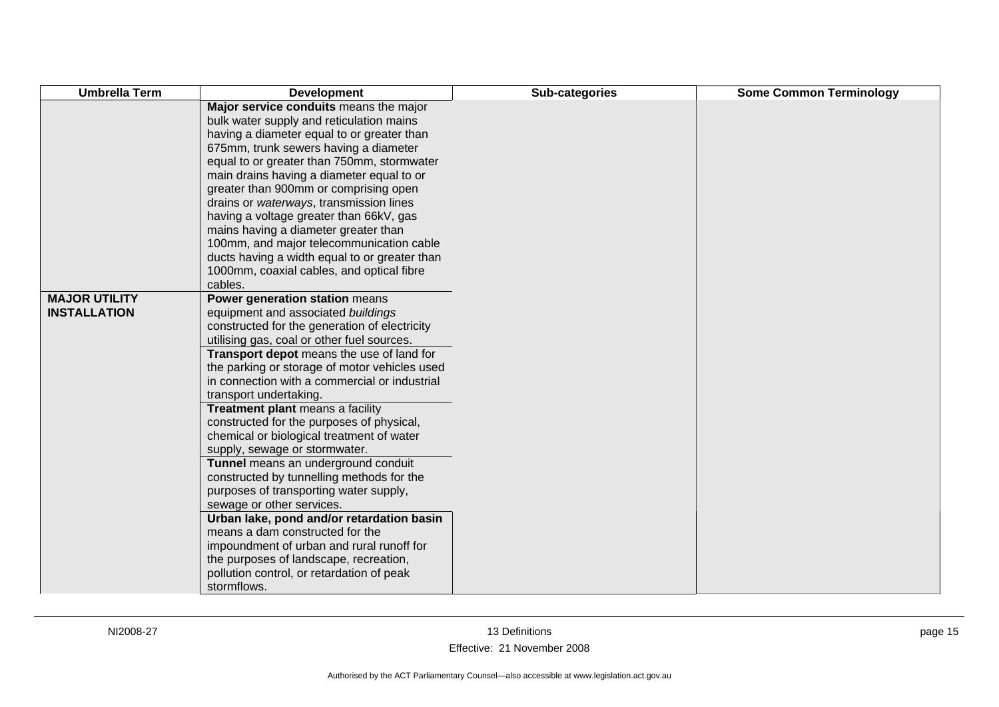| <b>Umbrella Term</b> | <b>Development</b>                                                                 | Sub-categories | <b>Some Common Terminology</b> |
|----------------------|------------------------------------------------------------------------------------|----------------|--------------------------------|
|                      | Major service conduits means the major<br>bulk water supply and reticulation mains |                |                                |
|                      | having a diameter equal to or greater than                                         |                |                                |
|                      | 675mm, trunk sewers having a diameter                                              |                |                                |
|                      | equal to or greater than 750mm, stormwater                                         |                |                                |
|                      | main drains having a diameter equal to or                                          |                |                                |
|                      | greater than 900mm or comprising open                                              |                |                                |
|                      | drains or waterways, transmission lines                                            |                |                                |
|                      | having a voltage greater than 66kV, gas                                            |                |                                |
|                      | mains having a diameter greater than                                               |                |                                |
|                      | 100mm, and major telecommunication cable                                           |                |                                |
|                      | ducts having a width equal to or greater than                                      |                |                                |
|                      | 1000mm, coaxial cables, and optical fibre                                          |                |                                |
|                      | cables.                                                                            |                |                                |
| <b>MAJOR UTILITY</b> | Power generation station means                                                     |                |                                |
| <b>INSTALLATION</b>  | equipment and associated buildings                                                 |                |                                |
|                      | constructed for the generation of electricity                                      |                |                                |
|                      | utilising gas, coal or other fuel sources.                                         |                |                                |
|                      | Transport depot means the use of land for                                          |                |                                |
|                      | the parking or storage of motor vehicles used                                      |                |                                |
|                      | in connection with a commercial or industrial                                      |                |                                |
|                      | transport undertaking.<br>Treatment plant means a facility                         |                |                                |
|                      | constructed for the purposes of physical,                                          |                |                                |
|                      | chemical or biological treatment of water                                          |                |                                |
|                      | supply, sewage or stormwater.                                                      |                |                                |
|                      | Tunnel means an underground conduit                                                |                |                                |
|                      | constructed by tunnelling methods for the                                          |                |                                |
|                      | purposes of transporting water supply,                                             |                |                                |
|                      | sewage or other services.                                                          |                |                                |
|                      | Urban lake, pond and/or retardation basin                                          |                |                                |
|                      | means a dam constructed for the                                                    |                |                                |
|                      | impoundment of urban and rural runoff for                                          |                |                                |
|                      | the purposes of landscape, recreation,                                             |                |                                |
|                      | pollution control, or retardation of peak                                          |                |                                |
|                      | stormflows.                                                                        |                |                                |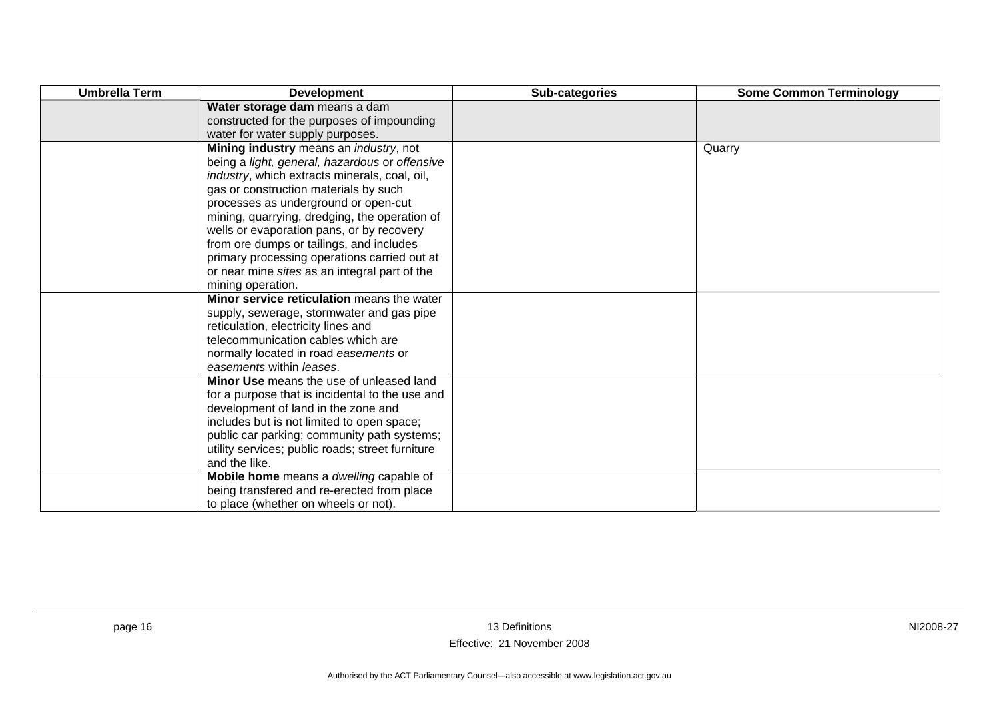| <b>Umbrella Term</b> | <b>Development</b>                                                               | Sub-categories | <b>Some Common Terminology</b> |
|----------------------|----------------------------------------------------------------------------------|----------------|--------------------------------|
|                      | Water storage dam means a dam                                                    |                |                                |
|                      | constructed for the purposes of impounding                                       |                |                                |
|                      | water for water supply purposes.                                                 |                |                                |
|                      | Mining industry means an industry, not                                           |                | Quarry                         |
|                      | being a light, general, hazardous or offensive                                   |                |                                |
|                      | industry, which extracts minerals, coal, oil,                                    |                |                                |
|                      | gas or construction materials by such                                            |                |                                |
|                      | processes as underground or open-cut                                             |                |                                |
|                      | mining, quarrying, dredging, the operation of                                    |                |                                |
|                      | wells or evaporation pans, or by recovery                                        |                |                                |
|                      | from ore dumps or tailings, and includes                                         |                |                                |
|                      | primary processing operations carried out at                                     |                |                                |
|                      | or near mine sites as an integral part of the                                    |                |                                |
|                      | mining operation.                                                                |                |                                |
|                      | Minor service reticulation means the water                                       |                |                                |
|                      | supply, sewerage, stormwater and gas pipe<br>reticulation, electricity lines and |                |                                |
|                      | telecommunication cables which are                                               |                |                                |
|                      | normally located in road easements or                                            |                |                                |
|                      | easements within leases.                                                         |                |                                |
|                      | Minor Use means the use of unleased land                                         |                |                                |
|                      | for a purpose that is incidental to the use and                                  |                |                                |
|                      | development of land in the zone and                                              |                |                                |
|                      | includes but is not limited to open space;                                       |                |                                |
|                      | public car parking; community path systems;                                      |                |                                |
|                      | utility services; public roads; street furniture                                 |                |                                |
|                      | and the like.                                                                    |                |                                |
|                      | Mobile home means a dwelling capable of                                          |                |                                |
|                      | being transfered and re-erected from place                                       |                |                                |
|                      | to place (whether on wheels or not).                                             |                |                                |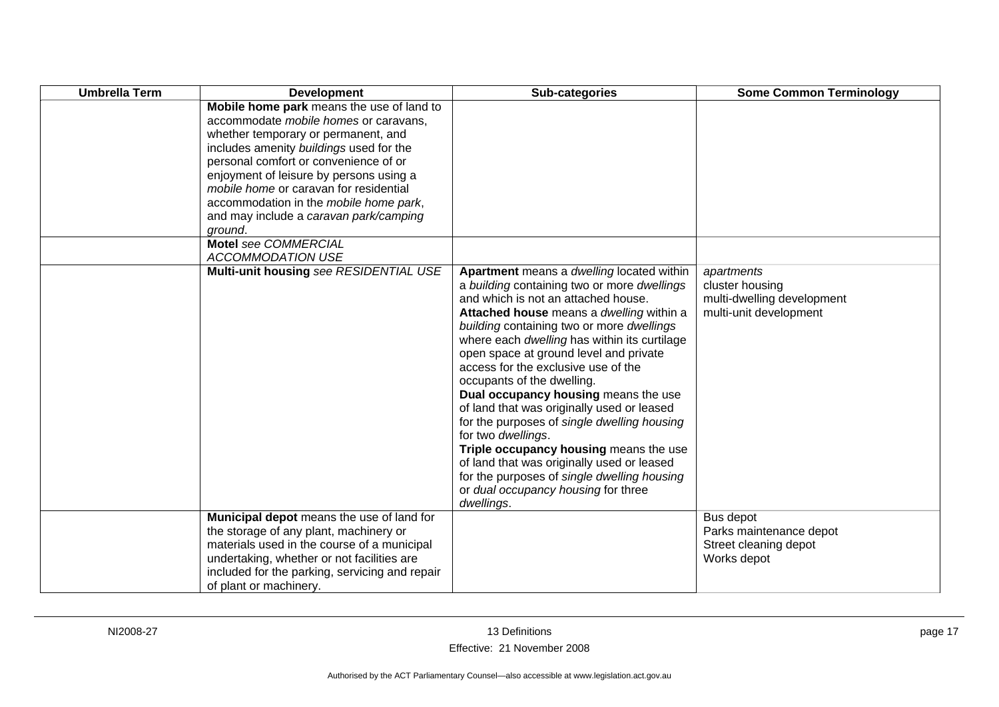| <b>Umbrella Term</b> | <b>Development</b>                                                                                                                                                                                                                                                                                                                                                                                | Sub-categories                                                                                                                                                                                                                                                                                                                                                                                                                                                                                                                                                                                                                                                                                                                                 | <b>Some Common Terminology</b>                                                        |
|----------------------|---------------------------------------------------------------------------------------------------------------------------------------------------------------------------------------------------------------------------------------------------------------------------------------------------------------------------------------------------------------------------------------------------|------------------------------------------------------------------------------------------------------------------------------------------------------------------------------------------------------------------------------------------------------------------------------------------------------------------------------------------------------------------------------------------------------------------------------------------------------------------------------------------------------------------------------------------------------------------------------------------------------------------------------------------------------------------------------------------------------------------------------------------------|---------------------------------------------------------------------------------------|
|                      | Mobile home park means the use of land to<br>accommodate mobile homes or caravans,<br>whether temporary or permanent, and<br>includes amenity buildings used for the<br>personal comfort or convenience of or<br>enjoyment of leisure by persons using a<br>mobile home or caravan for residential<br>accommodation in the mobile home park,<br>and may include a caravan park/camping<br>ground. |                                                                                                                                                                                                                                                                                                                                                                                                                                                                                                                                                                                                                                                                                                                                                |                                                                                       |
|                      | Motel see COMMERCIAL<br><b>ACCOMMODATION USE</b>                                                                                                                                                                                                                                                                                                                                                  |                                                                                                                                                                                                                                                                                                                                                                                                                                                                                                                                                                                                                                                                                                                                                |                                                                                       |
|                      | Multi-unit housing see RESIDENTIAL USE                                                                                                                                                                                                                                                                                                                                                            | Apartment means a dwelling located within<br>a building containing two or more dwellings<br>and which is not an attached house.<br>Attached house means a dwelling within a<br>building containing two or more dwellings<br>where each dwelling has within its curtilage<br>open space at ground level and private<br>access for the exclusive use of the<br>occupants of the dwelling.<br>Dual occupancy housing means the use<br>of land that was originally used or leased<br>for the purposes of single dwelling housing<br>for two dwellings.<br>Triple occupancy housing means the use<br>of land that was originally used or leased<br>for the purposes of single dwelling housing<br>or dual occupancy housing for three<br>dwellings. | apartments<br>cluster housing<br>multi-dwelling development<br>multi-unit development |
|                      | Municipal depot means the use of land for<br>the storage of any plant, machinery or<br>materials used in the course of a municipal<br>undertaking, whether or not facilities are<br>included for the parking, servicing and repair<br>of plant or machinery.                                                                                                                                      |                                                                                                                                                                                                                                                                                                                                                                                                                                                                                                                                                                                                                                                                                                                                                | Bus depot<br>Parks maintenance depot<br>Street cleaning depot<br>Works depot          |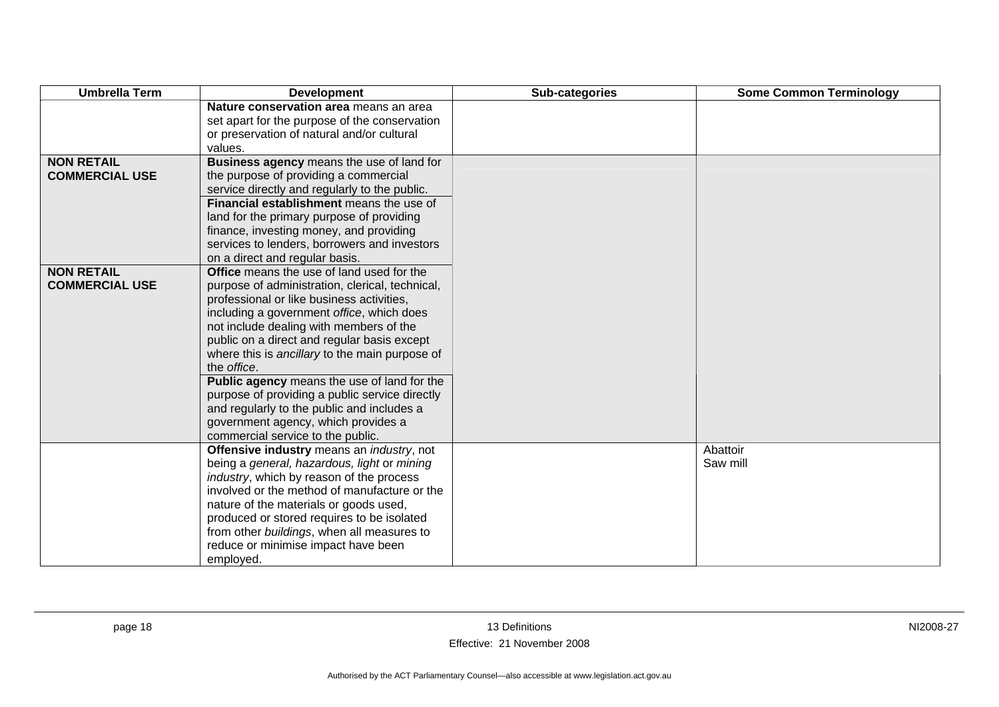| <b>Umbrella Term</b>  | <b>Development</b>                                                                                                                    | Sub-categories | <b>Some Common Terminology</b> |
|-----------------------|---------------------------------------------------------------------------------------------------------------------------------------|----------------|--------------------------------|
|                       | Nature conservation area means an area<br>set apart for the purpose of the conservation<br>or preservation of natural and/or cultural |                |                                |
|                       | values.                                                                                                                               |                |                                |
| <b>NON RETAIL</b>     | Business agency means the use of land for                                                                                             |                |                                |
| <b>COMMERCIAL USE</b> | the purpose of providing a commercial                                                                                                 |                |                                |
|                       | service directly and regularly to the public.                                                                                         |                |                                |
|                       | Financial establishment means the use of                                                                                              |                |                                |
|                       | land for the primary purpose of providing                                                                                             |                |                                |
|                       | finance, investing money, and providing                                                                                               |                |                                |
|                       | services to lenders, borrowers and investors                                                                                          |                |                                |
|                       | on a direct and regular basis.                                                                                                        |                |                                |
| <b>NON RETAIL</b>     | Office means the use of land used for the                                                                                             |                |                                |
| <b>COMMERCIAL USE</b> | purpose of administration, clerical, technical,                                                                                       |                |                                |
|                       | professional or like business activities,                                                                                             |                |                                |
|                       | including a government office, which does                                                                                             |                |                                |
|                       | not include dealing with members of the                                                                                               |                |                                |
|                       | public on a direct and regular basis except                                                                                           |                |                                |
|                       | where this is ancillary to the main purpose of<br>the office.                                                                         |                |                                |
|                       | Public agency means the use of land for the                                                                                           |                |                                |
|                       | purpose of providing a public service directly                                                                                        |                |                                |
|                       | and regularly to the public and includes a                                                                                            |                |                                |
|                       | government agency, which provides a                                                                                                   |                |                                |
|                       | commercial service to the public.                                                                                                     |                |                                |
|                       | Offensive industry means an industry, not                                                                                             |                | Abattoir                       |
|                       | being a general, hazardous, light or mining                                                                                           |                | Saw mill                       |
|                       | industry, which by reason of the process                                                                                              |                |                                |
|                       | involved or the method of manufacture or the                                                                                          |                |                                |
|                       | nature of the materials or goods used,                                                                                                |                |                                |
|                       | produced or stored requires to be isolated                                                                                            |                |                                |
|                       | from other buildings, when all measures to                                                                                            |                |                                |
|                       | reduce or minimise impact have been                                                                                                   |                |                                |
|                       | employed.                                                                                                                             |                |                                |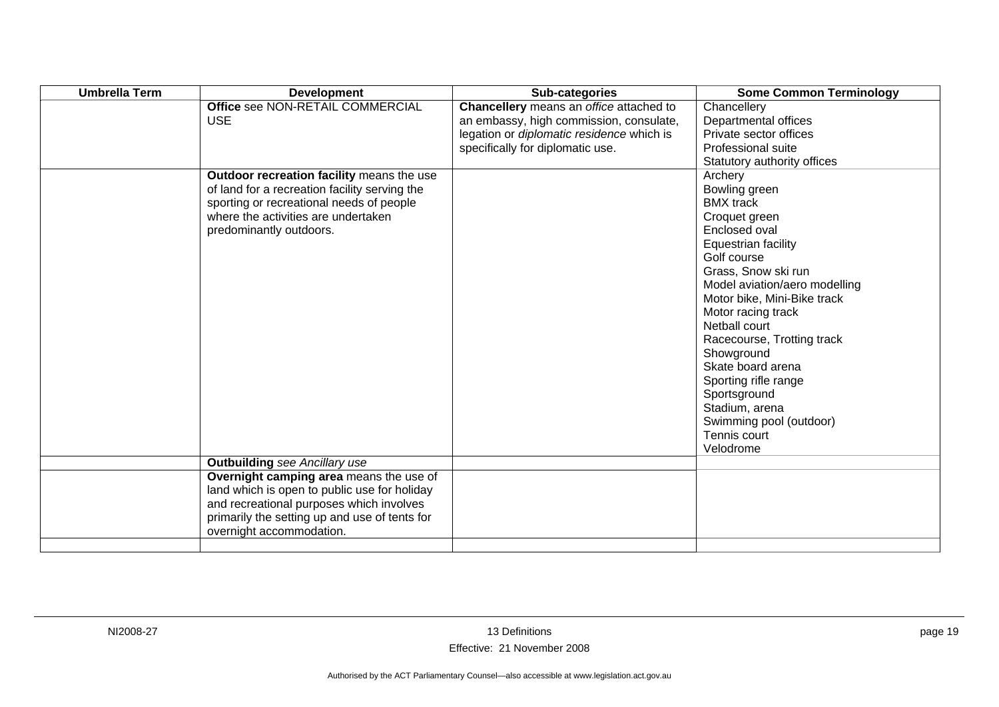| <b>Umbrella Term</b> | <b>Development</b>                                                                                                                                                                                               | Sub-categories                                                                                                                                                      | <b>Some Common Terminology</b>                                                                                                                                                                                                                                                                                                                                                                                                        |
|----------------------|------------------------------------------------------------------------------------------------------------------------------------------------------------------------------------------------------------------|---------------------------------------------------------------------------------------------------------------------------------------------------------------------|---------------------------------------------------------------------------------------------------------------------------------------------------------------------------------------------------------------------------------------------------------------------------------------------------------------------------------------------------------------------------------------------------------------------------------------|
|                      | Office see NON-RETAIL COMMERCIAL<br><b>USE</b>                                                                                                                                                                   | Chancellery means an office attached to<br>an embassy, high commission, consulate,<br>legation or diplomatic residence which is<br>specifically for diplomatic use. | Chancellery<br>Departmental offices<br>Private sector offices<br>Professional suite<br>Statutory authority offices                                                                                                                                                                                                                                                                                                                    |
|                      | Outdoor recreation facility means the use<br>of land for a recreation facility serving the<br>sporting or recreational needs of people<br>where the activities are undertaken<br>predominantly outdoors.         |                                                                                                                                                                     | Archery<br>Bowling green<br><b>BMX</b> track<br>Croquet green<br>Enclosed oval<br>Equestrian facility<br>Golf course<br>Grass, Snow ski run<br>Model aviation/aero modelling<br>Motor bike, Mini-Bike track<br>Motor racing track<br>Netball court<br>Racecourse, Trotting track<br>Showground<br>Skate board arena<br>Sporting rifle range<br>Sportsground<br>Stadium, arena<br>Swimming pool (outdoor)<br>Tennis court<br>Velodrome |
|                      | <b>Outbuilding</b> see Ancillary use                                                                                                                                                                             |                                                                                                                                                                     |                                                                                                                                                                                                                                                                                                                                                                                                                                       |
|                      | Overnight camping area means the use of<br>land which is open to public use for holiday<br>and recreational purposes which involves<br>primarily the setting up and use of tents for<br>overnight accommodation. |                                                                                                                                                                     |                                                                                                                                                                                                                                                                                                                                                                                                                                       |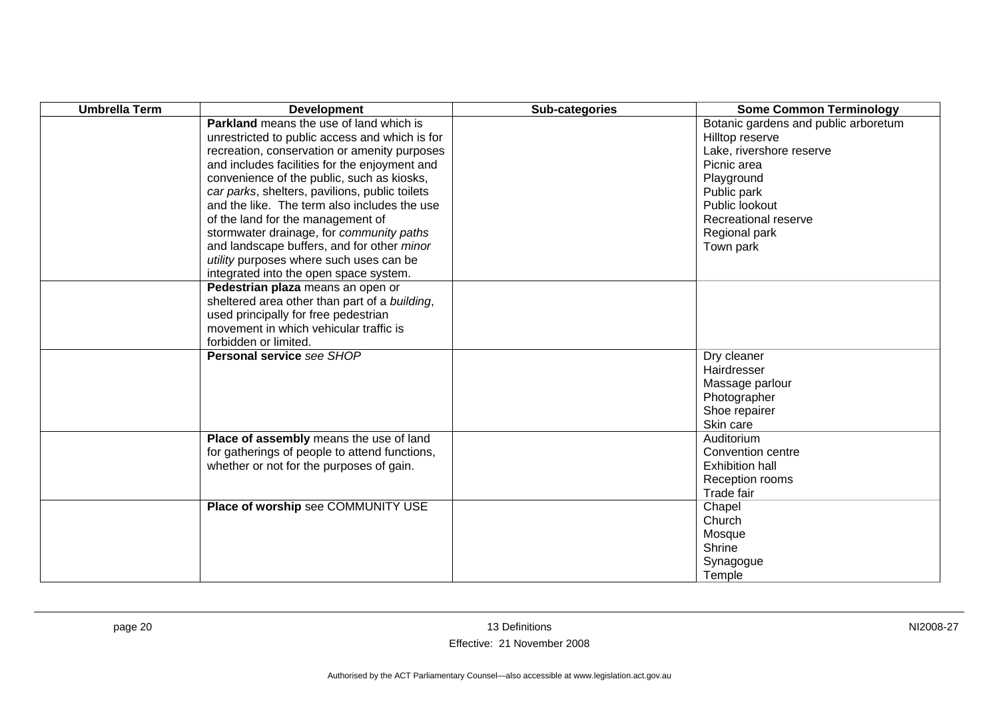| <b>Umbrella Term</b> | <b>Development</b>                             | Sub-categories | <b>Some Common Terminology</b>       |
|----------------------|------------------------------------------------|----------------|--------------------------------------|
|                      | <b>Parkland</b> means the use of land which is |                | Botanic gardens and public arboretum |
|                      | unrestricted to public access and which is for |                | Hilltop reserve                      |
|                      | recreation, conservation or amenity purposes   |                | Lake, rivershore reserve             |
|                      | and includes facilities for the enjoyment and  |                | Picnic area                          |
|                      | convenience of the public, such as kiosks,     |                | Playground                           |
|                      | car parks, shelters, pavilions, public toilets |                | Public park                          |
|                      | and the like. The term also includes the use   |                | Public lookout                       |
|                      | of the land for the management of              |                | Recreational reserve                 |
|                      | stormwater drainage, for community paths       |                | Regional park                        |
|                      | and landscape buffers, and for other minor     |                | Town park                            |
|                      | utility purposes where such uses can be        |                |                                      |
|                      | integrated into the open space system.         |                |                                      |
|                      | Pedestrian plaza means an open or              |                |                                      |
|                      | sheltered area other than part of a building,  |                |                                      |
|                      | used principally for free pedestrian           |                |                                      |
|                      | movement in which vehicular traffic is         |                |                                      |
|                      | forbidden or limited.                          |                |                                      |
|                      | Personal service see SHOP                      |                | Dry cleaner                          |
|                      |                                                |                | Hairdresser                          |
|                      |                                                |                | Massage parlour                      |
|                      |                                                |                | Photographer                         |
|                      |                                                |                | Shoe repairer                        |
|                      |                                                |                | Skin care                            |
|                      | Place of assembly means the use of land        |                | Auditorium                           |
|                      | for gatherings of people to attend functions,  |                | Convention centre                    |
|                      | whether or not for the purposes of gain.       |                | <b>Exhibition hall</b>               |
|                      |                                                |                | Reception rooms                      |
|                      |                                                |                | Trade fair                           |
|                      | Place of worship see COMMUNITY USE             |                | Chapel                               |
|                      |                                                |                | Church                               |
|                      |                                                |                | Mosque                               |
|                      |                                                |                | Shrine                               |
|                      |                                                |                | Synagogue                            |
|                      |                                                |                | Temple                               |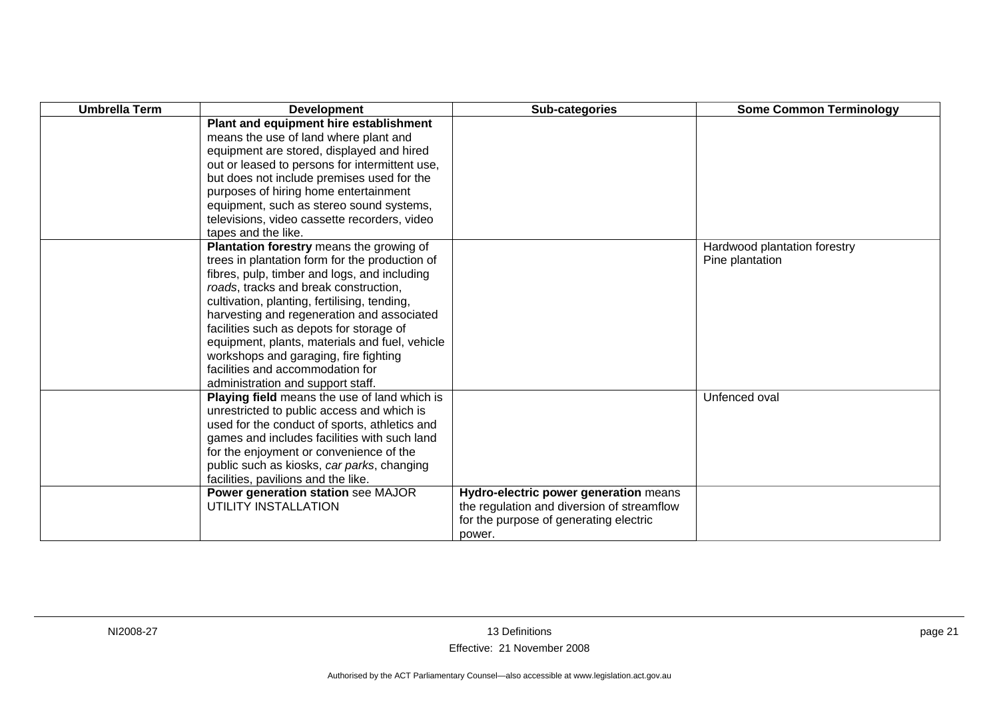| <b>Umbrella Term</b> | <b>Development</b>                             | Sub-categories                             | <b>Some Common Terminology</b> |
|----------------------|------------------------------------------------|--------------------------------------------|--------------------------------|
|                      | Plant and equipment hire establishment         |                                            |                                |
|                      | means the use of land where plant and          |                                            |                                |
|                      | equipment are stored, displayed and hired      |                                            |                                |
|                      | out or leased to persons for intermittent use, |                                            |                                |
|                      | but does not include premises used for the     |                                            |                                |
|                      | purposes of hiring home entertainment          |                                            |                                |
|                      | equipment, such as stereo sound systems,       |                                            |                                |
|                      | televisions, video cassette recorders, video   |                                            |                                |
|                      | tapes and the like.                            |                                            |                                |
|                      | Plantation forestry means the growing of       |                                            | Hardwood plantation forestry   |
|                      | trees in plantation form for the production of |                                            | Pine plantation                |
|                      | fibres, pulp, timber and logs, and including   |                                            |                                |
|                      | roads, tracks and break construction,          |                                            |                                |
|                      | cultivation, planting, fertilising, tending,   |                                            |                                |
|                      | harvesting and regeneration and associated     |                                            |                                |
|                      | facilities such as depots for storage of       |                                            |                                |
|                      | equipment, plants, materials and fuel, vehicle |                                            |                                |
|                      | workshops and garaging, fire fighting          |                                            |                                |
|                      | facilities and accommodation for               |                                            |                                |
|                      | administration and support staff.              |                                            |                                |
|                      | Playing field means the use of land which is   |                                            | Unfenced oval                  |
|                      | unrestricted to public access and which is     |                                            |                                |
|                      | used for the conduct of sports, athletics and  |                                            |                                |
|                      | games and includes facilities with such land   |                                            |                                |
|                      | for the enjoyment or convenience of the        |                                            |                                |
|                      | public such as kiosks, car parks, changing     |                                            |                                |
|                      | facilities, pavilions and the like.            |                                            |                                |
|                      | Power generation station see MAJOR             | Hydro-electric power generation means      |                                |
|                      | UTILITY INSTALLATION                           | the regulation and diversion of streamflow |                                |
|                      |                                                | for the purpose of generating electric     |                                |
|                      |                                                | power.                                     |                                |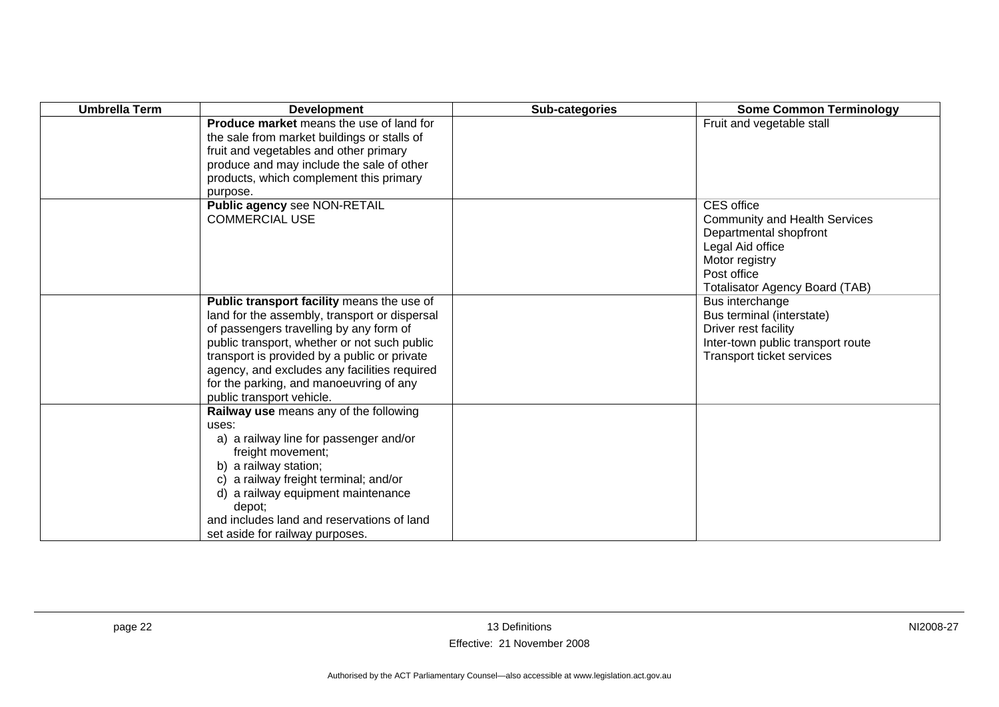| <b>Umbrella Term</b> | <b>Development</b>                                                                                                                                                                                                                                                                                                                                             | Sub-categories | <b>Some Common Terminology</b>                                                                                                                                                    |
|----------------------|----------------------------------------------------------------------------------------------------------------------------------------------------------------------------------------------------------------------------------------------------------------------------------------------------------------------------------------------------------------|----------------|-----------------------------------------------------------------------------------------------------------------------------------------------------------------------------------|
|                      | <b>Produce market</b> means the use of land for<br>the sale from market buildings or stalls of<br>fruit and vegetables and other primary<br>produce and may include the sale of other<br>products, which complement this primary<br>purpose.                                                                                                                   |                | Fruit and vegetable stall                                                                                                                                                         |
|                      | Public agency see NON-RETAIL<br><b>COMMERCIAL USE</b>                                                                                                                                                                                                                                                                                                          |                | <b>CES</b> office<br><b>Community and Health Services</b><br>Departmental shopfront<br>Legal Aid office<br>Motor registry<br>Post office<br><b>Totalisator Agency Board (TAB)</b> |
|                      | Public transport facility means the use of<br>land for the assembly, transport or dispersal<br>of passengers travelling by any form of<br>public transport, whether or not such public<br>transport is provided by a public or private<br>agency, and excludes any facilities required<br>for the parking, and manoeuvring of any<br>public transport vehicle. |                | Bus interchange<br>Bus terminal (interstate)<br>Driver rest facility<br>Inter-town public transport route<br>Transport ticket services                                            |
|                      | Railway use means any of the following<br>uses:<br>a) a railway line for passenger and/or<br>freight movement;<br>b) a railway station;<br>c) a railway freight terminal; and/or<br>d) a railway equipment maintenance<br>depot;<br>and includes land and reservations of land<br>set aside for railway purposes.                                              |                |                                                                                                                                                                                   |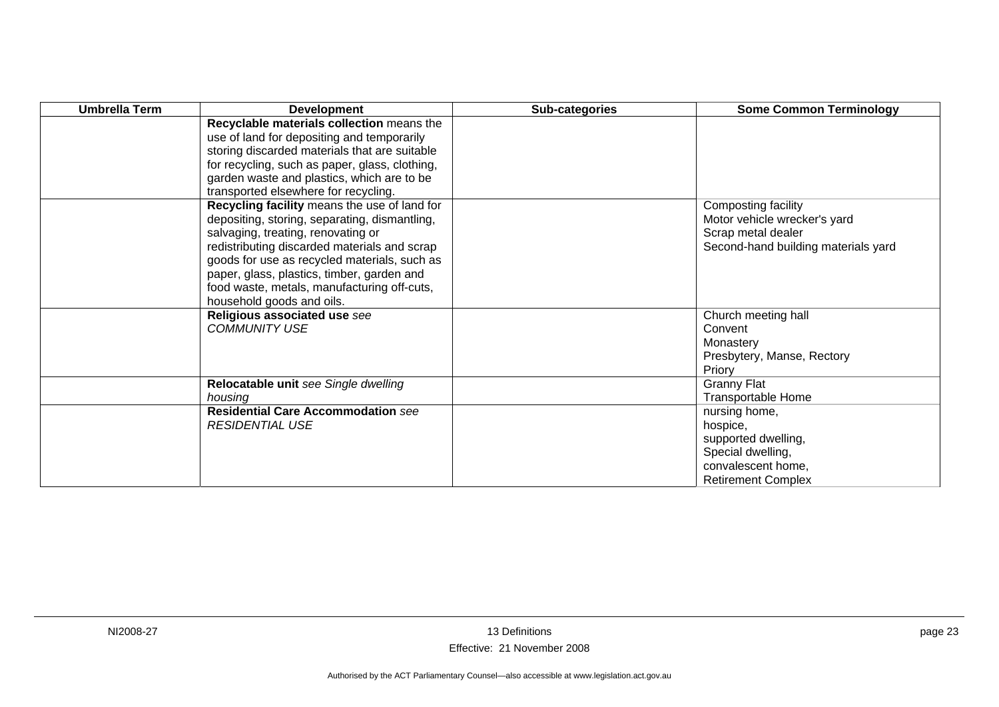| <b>Umbrella Term</b> | <b>Development</b>                                                                                                                                                                                                                                                                                                                                            | Sub-categories | <b>Some Common Terminology</b>                                                                                           |
|----------------------|---------------------------------------------------------------------------------------------------------------------------------------------------------------------------------------------------------------------------------------------------------------------------------------------------------------------------------------------------------------|----------------|--------------------------------------------------------------------------------------------------------------------------|
|                      | Recyclable materials collection means the<br>use of land for depositing and temporarily<br>storing discarded materials that are suitable<br>for recycling, such as paper, glass, clothing,<br>garden waste and plastics, which are to be<br>transported elsewhere for recycling.                                                                              |                |                                                                                                                          |
|                      | Recycling facility means the use of land for<br>depositing, storing, separating, dismantling,<br>salvaging, treating, renovating or<br>redistributing discarded materials and scrap<br>goods for use as recycled materials, such as<br>paper, glass, plastics, timber, garden and<br>food waste, metals, manufacturing off-cuts,<br>household goods and oils. |                | Composting facility<br>Motor vehicle wrecker's yard<br>Scrap metal dealer<br>Second-hand building materials yard         |
|                      | Religious associated use see<br><b>COMMUNITY USE</b>                                                                                                                                                                                                                                                                                                          |                | Church meeting hall<br>Convent<br>Monastery<br>Presbytery, Manse, Rectory<br>Priory                                      |
|                      | Relocatable unit see Single dwelling<br>housing                                                                                                                                                                                                                                                                                                               |                | <b>Granny Flat</b><br>Transportable Home                                                                                 |
|                      | <b>Residential Care Accommodation see</b><br><b>RESIDENTIAL USE</b>                                                                                                                                                                                                                                                                                           |                | nursing home,<br>hospice,<br>supported dwelling,<br>Special dwelling,<br>convalescent home,<br><b>Retirement Complex</b> |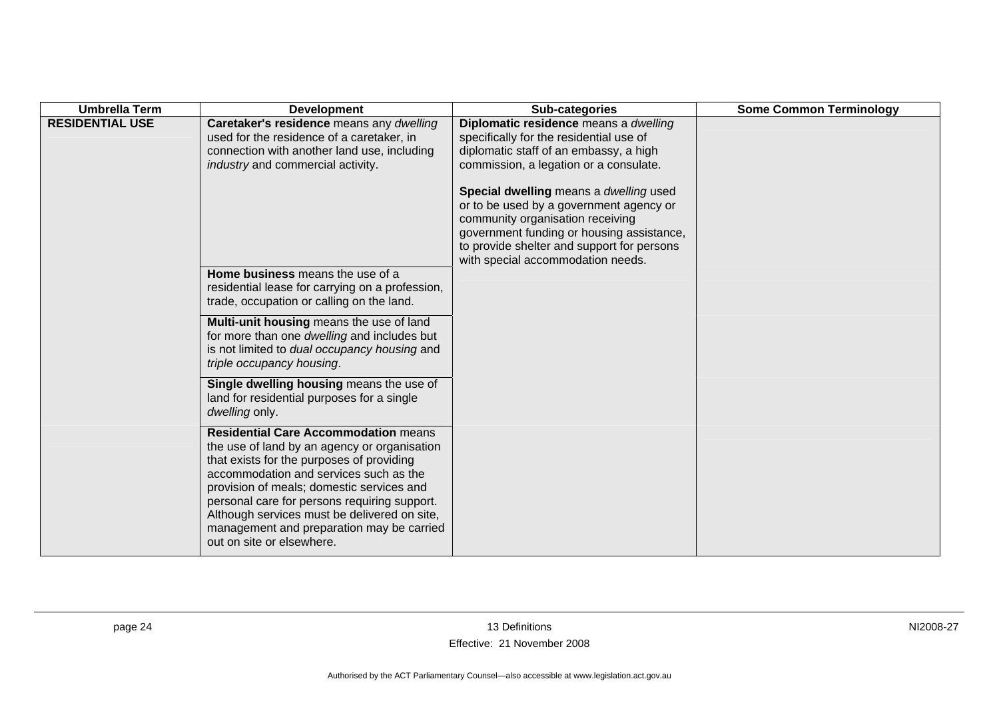| <b>Umbrella Term</b>   | <b>Development</b>                                                                                                                                                                                                                                                                                                                                                                                        | Sub-categories                                                                                                                                                                                                                                                                                                                                                                           | <b>Some Common Terminology</b> |
|------------------------|-----------------------------------------------------------------------------------------------------------------------------------------------------------------------------------------------------------------------------------------------------------------------------------------------------------------------------------------------------------------------------------------------------------|------------------------------------------------------------------------------------------------------------------------------------------------------------------------------------------------------------------------------------------------------------------------------------------------------------------------------------------------------------------------------------------|--------------------------------|
| <b>RESIDENTIAL USE</b> | Caretaker's residence means any dwelling<br>used for the residence of a caretaker, in<br>connection with another land use, including<br>industry and commercial activity.                                                                                                                                                                                                                                 | Diplomatic residence means a dwelling<br>specifically for the residential use of<br>diplomatic staff of an embassy, a high<br>commission, a legation or a consulate.<br>Special dwelling means a dwelling used<br>or to be used by a government agency or<br>community organisation receiving<br>government funding or housing assistance,<br>to provide shelter and support for persons |                                |
|                        | Home business means the use of a<br>residential lease for carrying on a profession,<br>trade, occupation or calling on the land.                                                                                                                                                                                                                                                                          | with special accommodation needs.                                                                                                                                                                                                                                                                                                                                                        |                                |
|                        | Multi-unit housing means the use of land<br>for more than one dwelling and includes but<br>is not limited to dual occupancy housing and<br>triple occupancy housing.                                                                                                                                                                                                                                      |                                                                                                                                                                                                                                                                                                                                                                                          |                                |
|                        | Single dwelling housing means the use of<br>land for residential purposes for a single<br>dwelling only.                                                                                                                                                                                                                                                                                                  |                                                                                                                                                                                                                                                                                                                                                                                          |                                |
|                        | <b>Residential Care Accommodation means</b><br>the use of land by an agency or organisation<br>that exists for the purposes of providing<br>accommodation and services such as the<br>provision of meals; domestic services and<br>personal care for persons requiring support.<br>Although services must be delivered on site,<br>management and preparation may be carried<br>out on site or elsewhere. |                                                                                                                                                                                                                                                                                                                                                                                          |                                |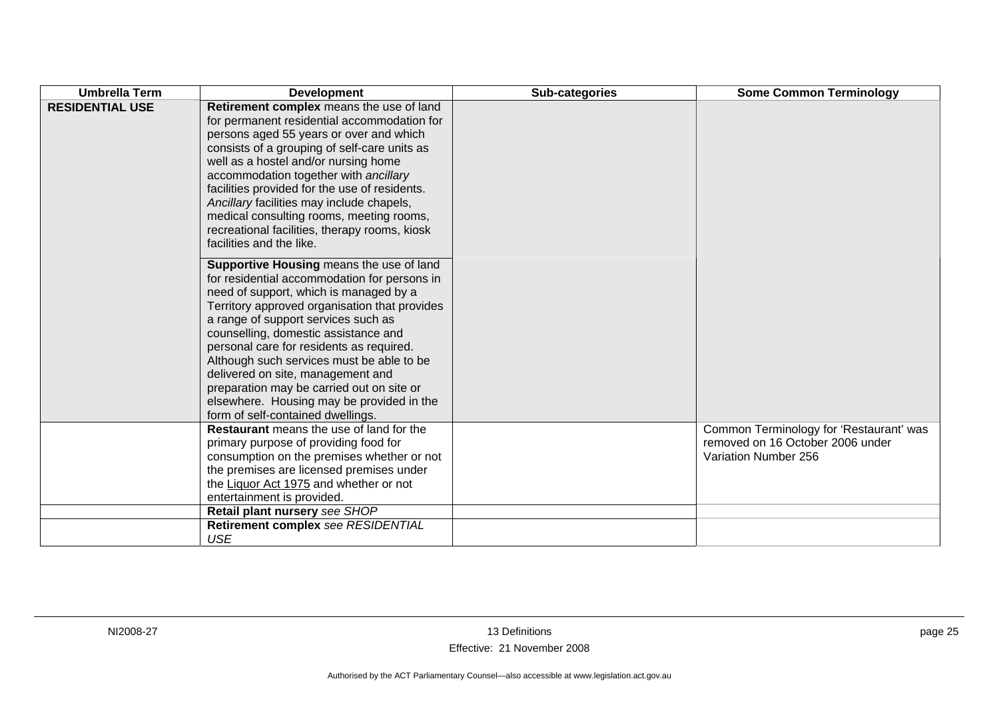| <b>Umbrella Term</b>   | <b>Development</b>                                                                                                                                                                                                                                                                                                                                                                                                                                                                                                              | Sub-categories | <b>Some Common Terminology</b>                                                                      |
|------------------------|---------------------------------------------------------------------------------------------------------------------------------------------------------------------------------------------------------------------------------------------------------------------------------------------------------------------------------------------------------------------------------------------------------------------------------------------------------------------------------------------------------------------------------|----------------|-----------------------------------------------------------------------------------------------------|
| <b>RESIDENTIAL USE</b> | Retirement complex means the use of land<br>for permanent residential accommodation for<br>persons aged 55 years or over and which<br>consists of a grouping of self-care units as<br>well as a hostel and/or nursing home<br>accommodation together with ancillary<br>facilities provided for the use of residents.<br>Ancillary facilities may include chapels,<br>medical consulting rooms, meeting rooms,<br>recreational facilities, therapy rooms, kiosk<br>facilities and the like.                                      |                |                                                                                                     |
|                        | Supportive Housing means the use of land<br>for residential accommodation for persons in<br>need of support, which is managed by a<br>Territory approved organisation that provides<br>a range of support services such as<br>counselling, domestic assistance and<br>personal care for residents as required.<br>Although such services must be able to be<br>delivered on site, management and<br>preparation may be carried out on site or<br>elsewhere. Housing may be provided in the<br>form of self-contained dwellings. |                |                                                                                                     |
|                        | <b>Restaurant</b> means the use of land for the<br>primary purpose of providing food for<br>consumption on the premises whether or not<br>the premises are licensed premises under<br>the Liquor Act 1975 and whether or not<br>entertainment is provided.                                                                                                                                                                                                                                                                      |                | Common Terminology for 'Restaurant' was<br>removed on 16 October 2006 under<br>Variation Number 256 |
|                        | Retail plant nursery see SHOP                                                                                                                                                                                                                                                                                                                                                                                                                                                                                                   |                |                                                                                                     |
|                        | Retirement complex see RESIDENTIAL<br><b>USE</b>                                                                                                                                                                                                                                                                                                                                                                                                                                                                                |                |                                                                                                     |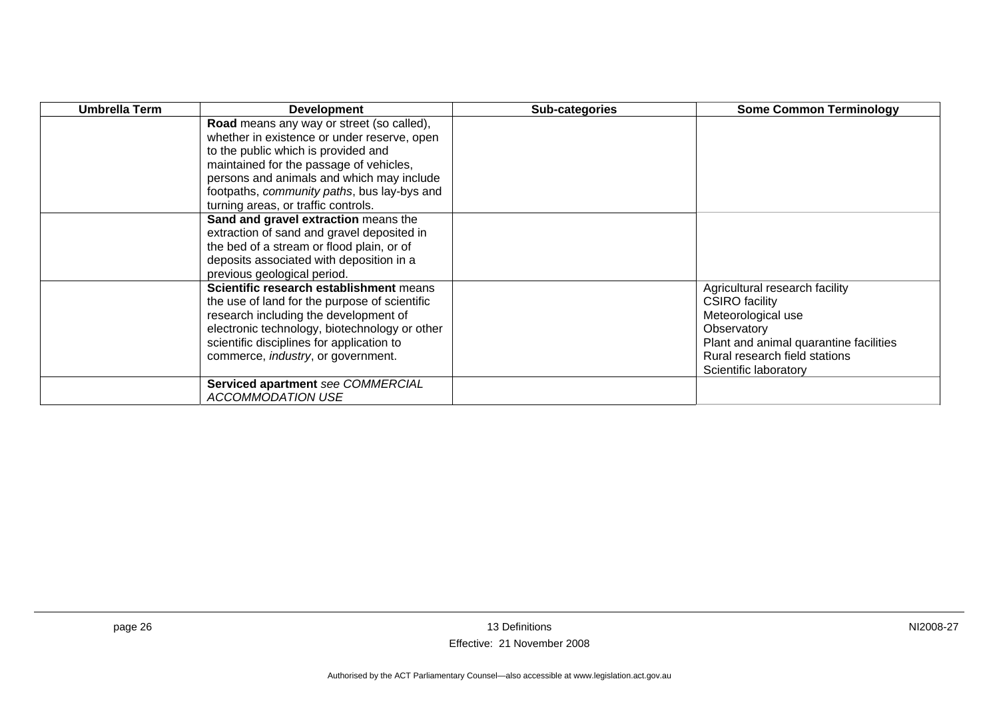| <b>Umbrella Term</b> | <b>Development</b>                            | Sub-categories | <b>Some Common Terminology</b>         |
|----------------------|-----------------------------------------------|----------------|----------------------------------------|
|                      | Road means any way or street (so called),     |                |                                        |
|                      | whether in existence or under reserve, open   |                |                                        |
|                      | to the public which is provided and           |                |                                        |
|                      | maintained for the passage of vehicles,       |                |                                        |
|                      | persons and animals and which may include     |                |                                        |
|                      | footpaths, community paths, bus lay-bys and   |                |                                        |
|                      | turning areas, or traffic controls.           |                |                                        |
|                      | Sand and gravel extraction means the          |                |                                        |
|                      | extraction of sand and gravel deposited in    |                |                                        |
|                      | the bed of a stream or flood plain, or of     |                |                                        |
|                      | deposits associated with deposition in a      |                |                                        |
|                      | previous geological period.                   |                |                                        |
|                      | Scientific research establishment means       |                | Agricultural research facility         |
|                      | the use of land for the purpose of scientific |                | <b>CSIRO</b> facility                  |
|                      | research including the development of         |                | Meteorological use                     |
|                      | electronic technology, biotechnology or other |                | Observatory                            |
|                      | scientific disciplines for application to     |                | Plant and animal quarantine facilities |
|                      | commerce, industry, or government.            |                | Rural research field stations          |
|                      |                                               |                | Scientific laboratory                  |
|                      | Serviced apartment see COMMERCIAL             |                |                                        |
|                      | <b>ACCOMMODATION USE</b>                      |                |                                        |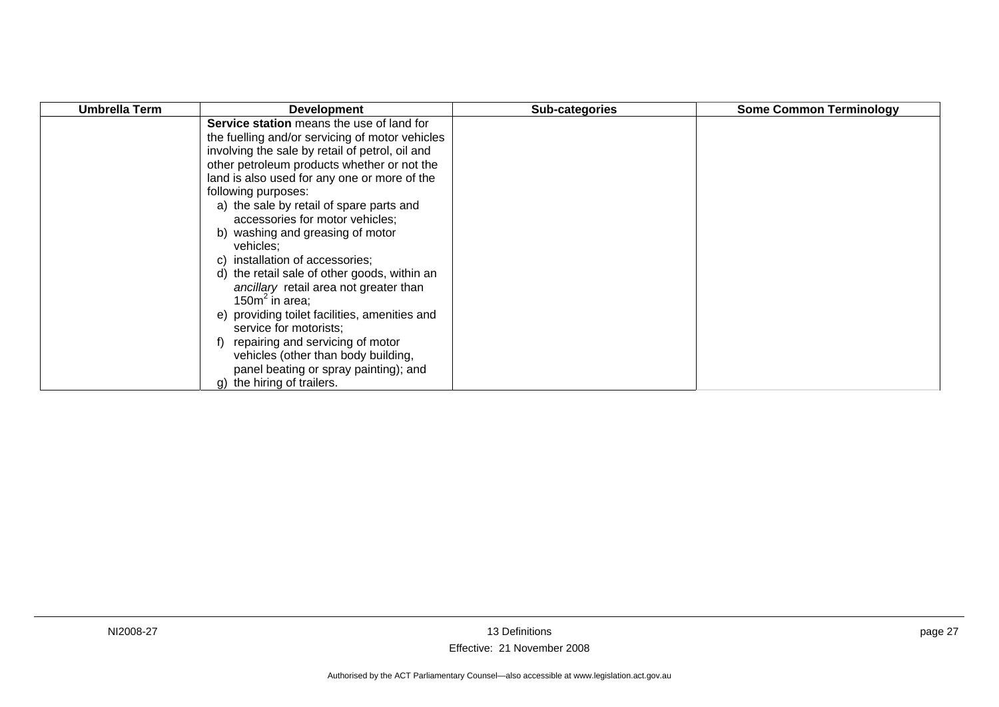| Umbrella Term | <b>Development</b>                              | Sub-categories | <b>Some Common Terminology</b> |
|---------------|-------------------------------------------------|----------------|--------------------------------|
|               | Service station means the use of land for       |                |                                |
|               | the fuelling and/or servicing of motor vehicles |                |                                |
|               | involving the sale by retail of petrol, oil and |                |                                |
|               | other petroleum products whether or not the     |                |                                |
|               | land is also used for any one or more of the    |                |                                |
|               | following purposes:                             |                |                                |
|               | a) the sale by retail of spare parts and        |                |                                |
|               | accessories for motor vehicles;                 |                |                                |
|               | b) washing and greasing of motor                |                |                                |
|               | vehicles;                                       |                |                                |
|               | c) installation of accessories;                 |                |                                |
|               | d) the retail sale of other goods, within an    |                |                                |
|               | ancillary retail area not greater than          |                |                                |
|               | 150 $m^2$ in area;                              |                |                                |
|               | e) providing toilet facilities, amenities and   |                |                                |
|               | service for motorists;                          |                |                                |
|               | repairing and servicing of motor                |                |                                |
|               | vehicles (other than body building,             |                |                                |
|               | panel beating or spray painting); and           |                |                                |
|               | g) the hiring of trailers.                      |                |                                |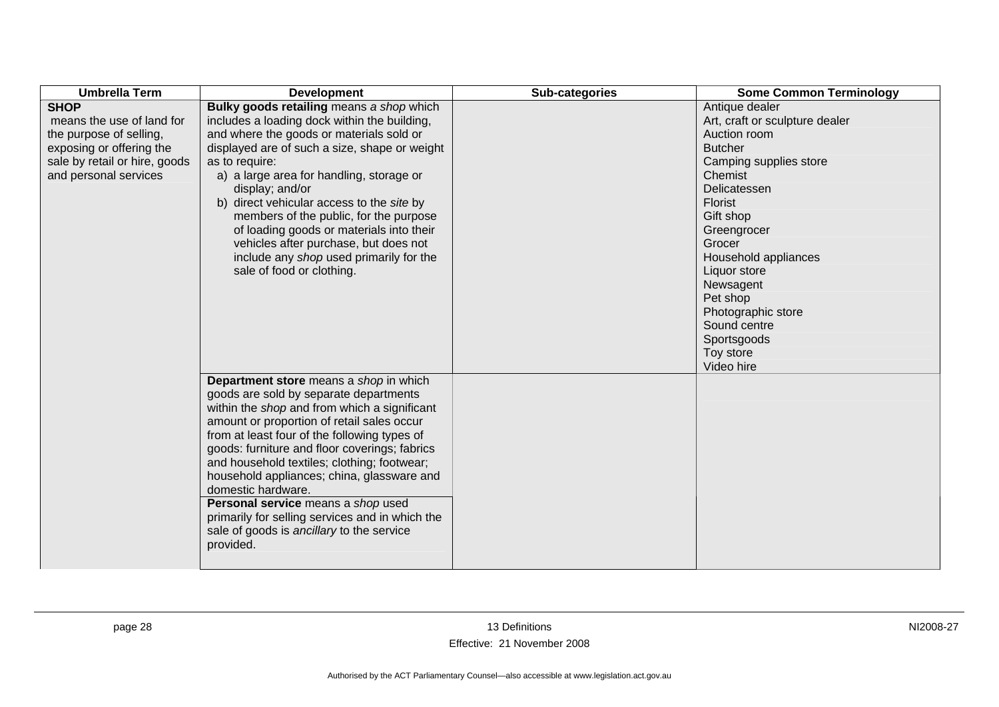| <b>Umbrella Term</b>          | <b>Development</b>                              | Sub-categories | <b>Some Common Terminology</b> |
|-------------------------------|-------------------------------------------------|----------------|--------------------------------|
| <b>SHOP</b>                   | Bulky goods retailing means a shop which        |                | Antique dealer                 |
| means the use of land for     | includes a loading dock within the building,    |                | Art, craft or sculpture dealer |
| the purpose of selling,       | and where the goods or materials sold or        |                | Auction room                   |
| exposing or offering the      | displayed are of such a size, shape or weight   |                | <b>Butcher</b>                 |
| sale by retail or hire, goods | as to require:                                  |                | Camping supplies store         |
| and personal services         | a) a large area for handling, storage or        |                | Chemist                        |
|                               | display; and/or                                 |                | Delicatessen                   |
|                               | b) direct vehicular access to the site by       |                | Florist                        |
|                               | members of the public, for the purpose          |                | Gift shop                      |
|                               | of loading goods or materials into their        |                | Greengrocer                    |
|                               | vehicles after purchase, but does not           |                | Grocer                         |
|                               | include any shop used primarily for the         |                | Household appliances           |
|                               | sale of food or clothing.                       |                | Liquor store                   |
|                               |                                                 |                | Newsagent                      |
|                               |                                                 |                | Pet shop                       |
|                               |                                                 |                | Photographic store             |
|                               |                                                 |                | Sound centre                   |
|                               |                                                 |                | Sportsgoods                    |
|                               |                                                 |                | Toy store                      |
|                               |                                                 |                | Video hire                     |
|                               | <b>Department store</b> means a shop in which   |                |                                |
|                               | goods are sold by separate departments          |                |                                |
|                               | within the shop and from which a significant    |                |                                |
|                               | amount or proportion of retail sales occur      |                |                                |
|                               | from at least four of the following types of    |                |                                |
|                               | goods: furniture and floor coverings; fabrics   |                |                                |
|                               | and household textiles; clothing; footwear;     |                |                                |
|                               | household appliances; china, glassware and      |                |                                |
|                               | domestic hardware.                              |                |                                |
|                               | Personal service means a shop used              |                |                                |
|                               | primarily for selling services and in which the |                |                                |
|                               | sale of goods is ancillary to the service       |                |                                |
|                               | provided.                                       |                |                                |
|                               |                                                 |                |                                |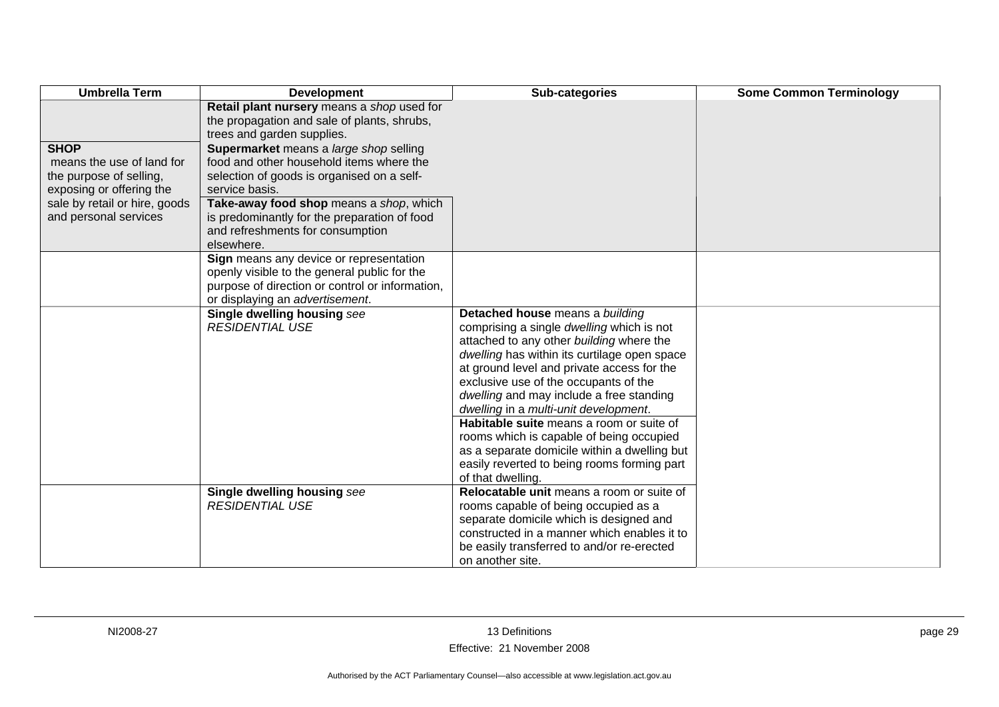| <b>Umbrella Term</b>                                                                                                                                      | <b>Development</b>                                                                                                                                                                                                                                                                              | Sub-categories                                                                                                                                                                                                                                                                                                                                                                                                                                                                                                                                                   | <b>Some Common Terminology</b> |
|-----------------------------------------------------------------------------------------------------------------------------------------------------------|-------------------------------------------------------------------------------------------------------------------------------------------------------------------------------------------------------------------------------------------------------------------------------------------------|------------------------------------------------------------------------------------------------------------------------------------------------------------------------------------------------------------------------------------------------------------------------------------------------------------------------------------------------------------------------------------------------------------------------------------------------------------------------------------------------------------------------------------------------------------------|--------------------------------|
|                                                                                                                                                           | Retail plant nursery means a shop used for<br>the propagation and sale of plants, shrubs,<br>trees and garden supplies.                                                                                                                                                                         |                                                                                                                                                                                                                                                                                                                                                                                                                                                                                                                                                                  |                                |
| <b>SHOP</b><br>means the use of land for<br>the purpose of selling,<br>exposing or offering the<br>sale by retail or hire, goods<br>and personal services | Supermarket means a large shop selling<br>food and other household items where the<br>selection of goods is organised on a self-<br>service basis.<br>Take-away food shop means a shop, which<br>is predominantly for the preparation of food<br>and refreshments for consumption<br>elsewhere. |                                                                                                                                                                                                                                                                                                                                                                                                                                                                                                                                                                  |                                |
|                                                                                                                                                           | Sign means any device or representation<br>openly visible to the general public for the<br>purpose of direction or control or information,<br>or displaying an advertisement.                                                                                                                   |                                                                                                                                                                                                                                                                                                                                                                                                                                                                                                                                                                  |                                |
|                                                                                                                                                           | Single dwelling housing see<br><b>RESIDENTIAL USE</b>                                                                                                                                                                                                                                           | Detached house means a building<br>comprising a single dwelling which is not<br>attached to any other building where the<br>dwelling has within its curtilage open space<br>at ground level and private access for the<br>exclusive use of the occupants of the<br>dwelling and may include a free standing<br>dwelling in a multi-unit development.<br>Habitable suite means a room or suite of<br>rooms which is capable of being occupied<br>as a separate domicile within a dwelling but<br>easily reverted to being rooms forming part<br>of that dwelling. |                                |
|                                                                                                                                                           | Single dwelling housing see<br><b>RESIDENTIAL USE</b>                                                                                                                                                                                                                                           | Relocatable unit means a room or suite of<br>rooms capable of being occupied as a<br>separate domicile which is designed and<br>constructed in a manner which enables it to<br>be easily transferred to and/or re-erected<br>on another site.                                                                                                                                                                                                                                                                                                                    |                                |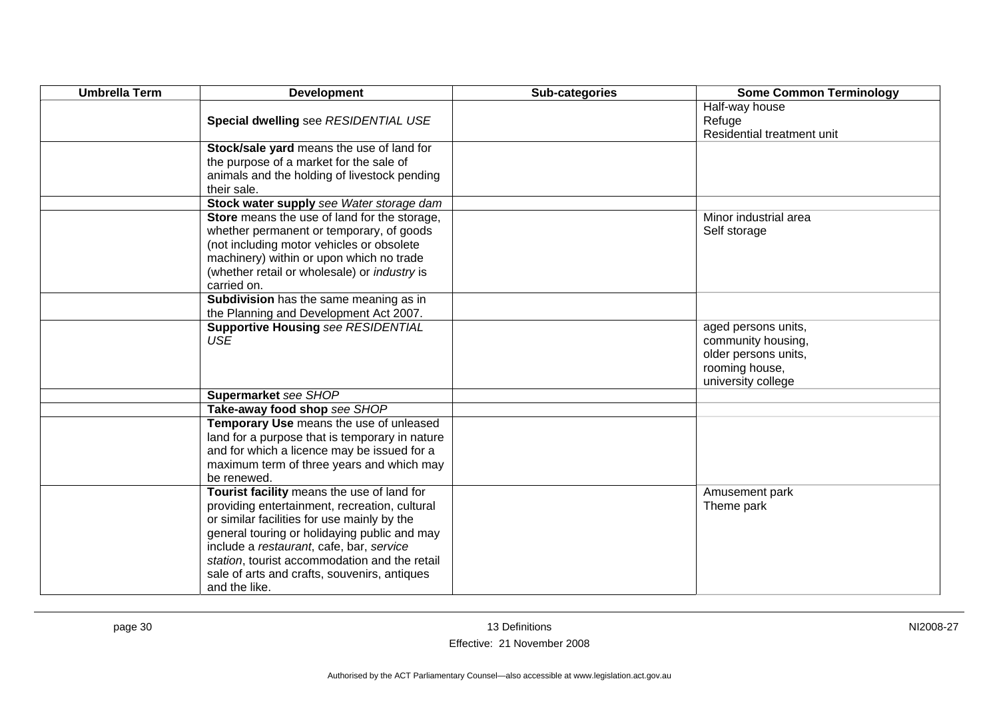| <b>Umbrella Term</b> | <b>Development</b>                                                                                                                                                                                                                                                                                                                                       | Sub-categories | <b>Some Common Terminology</b>                                                                            |
|----------------------|----------------------------------------------------------------------------------------------------------------------------------------------------------------------------------------------------------------------------------------------------------------------------------------------------------------------------------------------------------|----------------|-----------------------------------------------------------------------------------------------------------|
|                      | Special dwelling see RESIDENTIAL USE                                                                                                                                                                                                                                                                                                                     |                | Half-way house<br>Refuge<br>Residential treatment unit                                                    |
|                      | Stock/sale yard means the use of land for<br>the purpose of a market for the sale of<br>animals and the holding of livestock pending<br>their sale.                                                                                                                                                                                                      |                |                                                                                                           |
|                      | Stock water supply see Water storage dam                                                                                                                                                                                                                                                                                                                 |                |                                                                                                           |
|                      | Store means the use of land for the storage,<br>whether permanent or temporary, of goods<br>(not including motor vehicles or obsolete<br>machinery) within or upon which no trade<br>(whether retail or wholesale) or <i>industry</i> is<br>carried on.                                                                                                  |                | Minor industrial area<br>Self storage                                                                     |
|                      | Subdivision has the same meaning as in<br>the Planning and Development Act 2007.                                                                                                                                                                                                                                                                         |                |                                                                                                           |
|                      | <b>Supportive Housing see RESIDENTIAL</b><br><b>USE</b>                                                                                                                                                                                                                                                                                                  |                | aged persons units,<br>community housing,<br>older persons units,<br>rooming house,<br>university college |
|                      | Supermarket see SHOP                                                                                                                                                                                                                                                                                                                                     |                |                                                                                                           |
|                      | Take-away food shop see SHOP                                                                                                                                                                                                                                                                                                                             |                |                                                                                                           |
|                      | Temporary Use means the use of unleased<br>land for a purpose that is temporary in nature<br>and for which a licence may be issued for a<br>maximum term of three years and which may<br>be renewed.                                                                                                                                                     |                |                                                                                                           |
|                      | Tourist facility means the use of land for<br>providing entertainment, recreation, cultural<br>or similar facilities for use mainly by the<br>general touring or holidaying public and may<br>include a restaurant, cafe, bar, service<br>station, tourist accommodation and the retail<br>sale of arts and crafts, souvenirs, antiques<br>and the like. |                | Amusement park<br>Theme park                                                                              |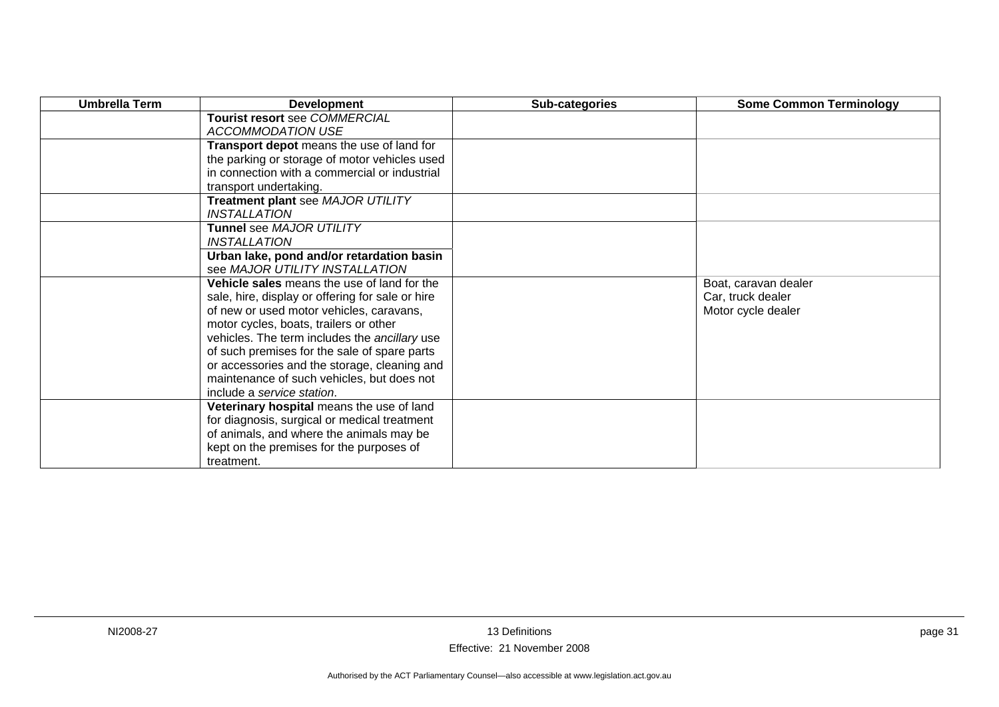| <b>Umbrella Term</b> | <b>Development</b>                                                                           | Sub-categories | <b>Some Common Terminology</b> |
|----------------------|----------------------------------------------------------------------------------------------|----------------|--------------------------------|
|                      | Tourist resort see COMMERCIAL<br><b>ACCOMMODATION USE</b>                                    |                |                                |
|                      | Transport depot means the use of land for                                                    |                |                                |
|                      | the parking or storage of motor vehicles used                                                |                |                                |
|                      | in connection with a commercial or industrial                                                |                |                                |
|                      | transport undertaking.                                                                       |                |                                |
|                      | Treatment plant see MAJOR UTILITY                                                            |                |                                |
|                      | <i><b>INSTALLATION</b></i>                                                                   |                |                                |
|                      | <b>Tunnel see MAJOR UTILITY</b>                                                              |                |                                |
|                      | <b>INSTALLATION</b>                                                                          |                |                                |
|                      | Urban lake, pond and/or retardation basin                                                    |                |                                |
|                      | see MAJOR UTILITY INSTALLATION                                                               |                |                                |
|                      | Vehicle sales means the use of land for the                                                  |                | Boat, caravan dealer           |
|                      | sale, hire, display or offering for sale or hire                                             |                | Car, truck dealer              |
|                      | of new or used motor vehicles, caravans,                                                     |                | Motor cycle dealer             |
|                      | motor cycles, boats, trailers or other                                                       |                |                                |
|                      | vehicles. The term includes the ancillary use                                                |                |                                |
|                      | of such premises for the sale of spare parts<br>or accessories and the storage, cleaning and |                |                                |
|                      | maintenance of such vehicles, but does not                                                   |                |                                |
|                      | include a service station.                                                                   |                |                                |
|                      | Veterinary hospital means the use of land                                                    |                |                                |
|                      | for diagnosis, surgical or medical treatment                                                 |                |                                |
|                      | of animals, and where the animals may be                                                     |                |                                |
|                      | kept on the premises for the purposes of                                                     |                |                                |
|                      | treatment.                                                                                   |                |                                |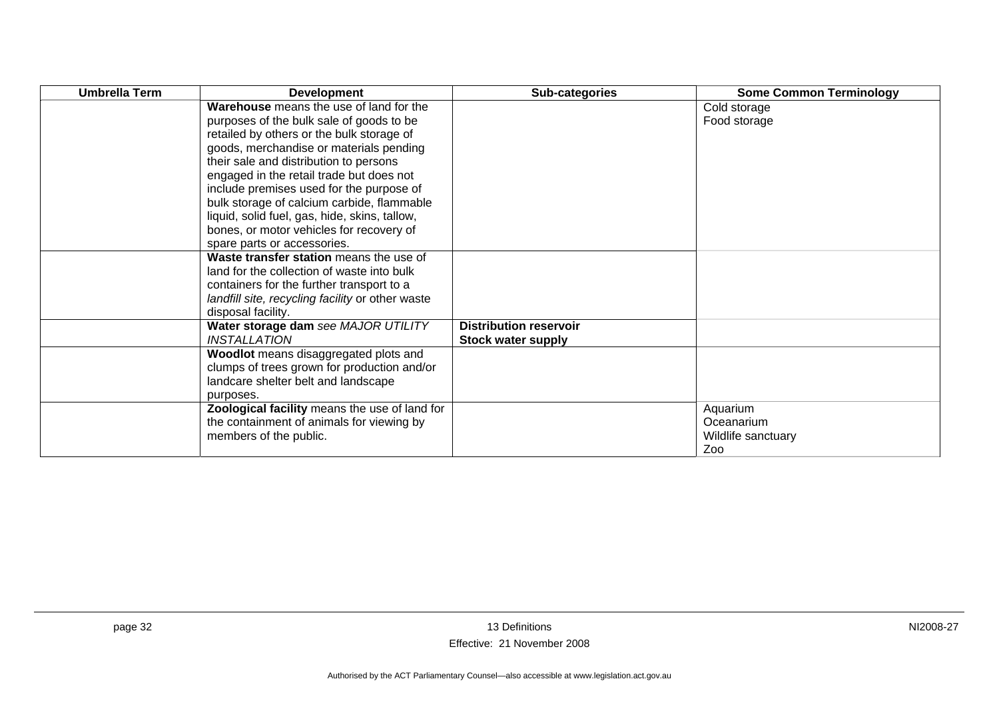| <b>Umbrella Term</b> | <b>Development</b>                               | Sub-categories                | <b>Some Common Terminology</b> |
|----------------------|--------------------------------------------------|-------------------------------|--------------------------------|
|                      | Warehouse means the use of land for the          |                               | Cold storage                   |
|                      | purposes of the bulk sale of goods to be         |                               | Food storage                   |
|                      | retailed by others or the bulk storage of        |                               |                                |
|                      | goods, merchandise or materials pending          |                               |                                |
|                      | their sale and distribution to persons           |                               |                                |
|                      | engaged in the retail trade but does not         |                               |                                |
|                      | include premises used for the purpose of         |                               |                                |
|                      | bulk storage of calcium carbide, flammable       |                               |                                |
|                      | liquid, solid fuel, gas, hide, skins, tallow,    |                               |                                |
|                      | bones, or motor vehicles for recovery of         |                               |                                |
|                      | spare parts or accessories.                      |                               |                                |
|                      | Waste transfer station means the use of          |                               |                                |
|                      | land for the collection of waste into bulk       |                               |                                |
|                      | containers for the further transport to a        |                               |                                |
|                      | landfill site, recycling facility or other waste |                               |                                |
|                      | disposal facility.                               |                               |                                |
|                      | Water storage dam see MAJOR UTILITY              | <b>Distribution reservoir</b> |                                |
|                      | <i><b>INSTALLATION</b></i>                       | <b>Stock water supply</b>     |                                |
|                      | Woodlot means disaggregated plots and            |                               |                                |
|                      | clumps of trees grown for production and/or      |                               |                                |
|                      | landcare shelter belt and landscape              |                               |                                |
|                      | purposes.                                        |                               |                                |
|                      | Zoological facility means the use of land for    |                               | Aquarium                       |
|                      | the containment of animals for viewing by        |                               | Oceanarium                     |
|                      | members of the public.                           |                               | Wildlife sanctuary             |
|                      |                                                  |                               | Zoo                            |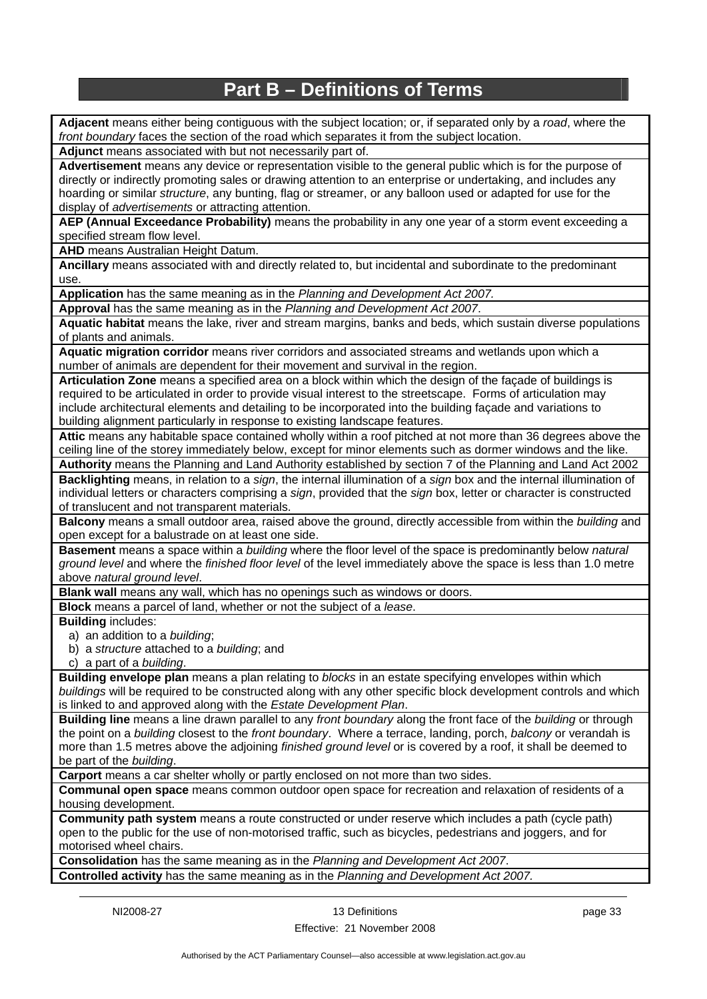## **Part B – Definitions of Terms**

<span id="page-36-0"></span>**Adjacent** means either being contiguous with the subject location; or, if separated only by a *road*, where the *front boundary* faces the section of the road which separates it from the subject location.

**Adjunct** means associated with but not necessarily part of.

**Advertisement** means any device or representation visible to the general public which is for the purpose of directly or indirectly promoting sales or drawing attention to an enterprise or undertaking, and includes any hoarding or similar *structure*, any bunting, flag or streamer, or any balloon used or adapted for use for the display of *advertisements* or attracting attention.

**AEP (Annual Exceedance Probability)** means the probability in any one year of a storm event exceeding a specified stream flow level.

**AHD** means Australian Height Datum.

**Ancillary** means associated with and directly related to, but incidental and subordinate to the predominant use.

**Application** has the same meaning as in the *Planning and Development Act 2007.*

**Approval** has the same meaning as in the *Planning and Development Act 2007*.

**Aquatic habitat** means the lake, river and stream margins, banks and beds, which sustain diverse populations of plants and animals.

**Aquatic migration corridor** means river corridors and associated streams and wetlands upon which a number of animals are dependent for their movement and survival in the region.

**Articulation Zone** means a specified area on a block within which the design of the façade of buildings is required to be articulated in order to provide visual interest to the streetscape. Forms of articulation may include architectural elements and detailing to be incorporated into the building façade and variations to building alignment particularly in response to existing landscape features.

**Attic** means any habitable space contained wholly within a roof pitched at not more than 36 degrees above the ceiling line of the storey immediately below, except for minor elements such as dormer windows and the like. **Authority** means the Planning and Land Authority established by section 7 of the Planning and Land Act 2002

**Backlighting** means, in relation to a *sign*, the internal illumination of a *sign* box and the internal illumination of individual letters or characters comprising a *sign*, provided that the *sign* box, letter or character is constructed of translucent and not transparent materials.

**Balcony** means a small outdoor area, raised above the ground, directly accessible from within the *building* and open except for a balustrade on at least one side.

**Basement** means a space within a *building* where the floor level of the space is predominantly below *natural ground level* and where the *finished floor level* of the level immediately above the space is less than 1.0 metre above *natural ground level*.

**Blank wall** means any wall, which has no openings such as windows or doors.

**Block** means a parcel of land, whether or not the subject of a *lease*.

**Building** includes:

a) an addition to a *building*;

b) a *structure* attached to a *building*; and

c) a part of a *building*.

**Building envelope plan** means a plan relating to *blocks* in an estate specifying envelopes within which *buildings* will be required to be constructed along with any other specific block development controls and which is linked to and approved along with the *Estate Development Plan*.

**Building line** means a line drawn parallel to any *front boundary* along the front face of the *building* or through the point on a *building* closest to the *front boundary*. Where a terrace, landing, porch, *balcony* or verandah is more than 1.5 metres above the adjoining *finished ground level* or is covered by a roof, it shall be deemed to be part of the *building*.

**Carport** means a car shelter wholly or partly enclosed on not more than two sides.

**Communal open space** means common outdoor open space for recreation and relaxation of residents of a housing development.

**Community path system** means a route constructed or under reserve which includes a path (cycle path) open to the public for the use of non-motorised traffic, such as bicycles, pedestrians and joggers, and for motorised wheel chairs.

**Consolidation** has the same meaning as in the *Planning and Development Act 2007*. **Controlled activity** has the same meaning as in the *Planning and Development Act 2007.*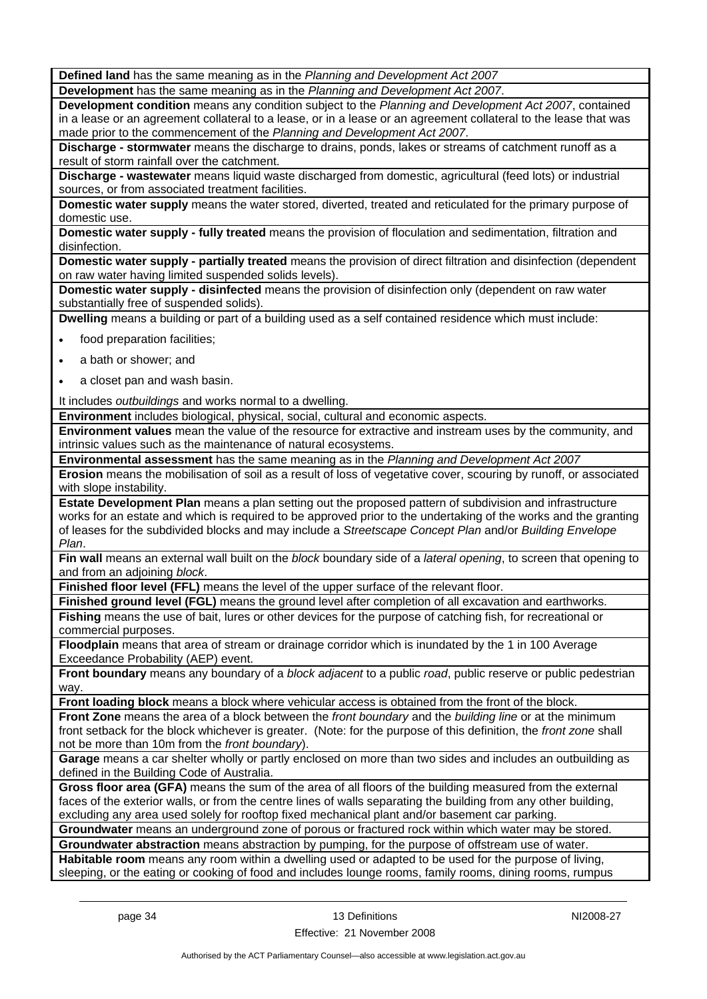**Defined land** has the same meaning as in the *Planning and Development Act 2007*

**Development** has the same meaning as in the *Planning and Development Act 2007*.

**Development condition** means any condition subject to the *Planning and Development Act 2007*, contained in a lease or an agreement collateral to a lease, or in a lease or an agreement collateral to the lease that was made prior to the commencement of the *Planning and Development Act 2007*.

**Discharge - stormwater** means the discharge to drains, ponds, lakes or streams of catchment runoff as a result of storm rainfall over the catchment.

**Discharge - wastewater** means liquid waste discharged from domestic, agricultural (feed lots) or industrial sources, or from associated treatment facilities.

**Domestic water supply** means the water stored, diverted, treated and reticulated for the primary purpose of domestic use.

**Domestic water supply - fully treated** means the provision of floculation and sedimentation, filtration and disinfection.

**Domestic water supply - partially treated** means the provision of direct filtration and disinfection (dependent on raw water having limited suspended solids levels).

**Domestic water supply - disinfected** means the provision of disinfection only (dependent on raw water substantially free of suspended solids).

**Dwelling** means a building or part of a building used as a self contained residence which must include:

- food preparation facilities;
- a bath or shower; and
- a closet pan and wash basin.

It includes *outbuildings* and works normal to a dwelling.

**Environment** includes biological, physical, social, cultural and economic aspects.

**Environment values** mean the value of the resource for extractive and instream uses by the community, and intrinsic values such as the maintenance of natural ecosystems.

**Environmental assessment** has the same meaning as in the *Planning and Development Act 2007*

**Erosion** means the mobilisation of soil as a result of loss of vegetative cover, scouring by runoff, or associated with slope instability.

**Estate Development Plan** means a plan setting out the proposed pattern of subdivision and infrastructure works for an estate and which is required to be approved prior to the undertaking of the works and the granting of leases for the subdivided blocks and may include a *Streetscape Concept Plan* and/or *Building Envelope Plan*.

**Fin wall** means an external wall built on the *block* boundary side of a *lateral opening*, to screen that opening to and from an adjoining *block*.

**Finished floor level (FFL)** means the level of the upper surface of the relevant floor.

**Finished ground level (FGL)** means the ground level after completion of all excavation and earthworks. **Fishing** means the use of bait, lures or other devices for the purpose of catching fish, for recreational or commercial purposes.

**Floodplain** means that area of stream or drainage corridor which is inundated by the 1 in 100 Average Exceedance Probability (AEP) event.

**Front boundary** means any boundary of a *block adjacent* to a public *road*, public reserve or public pedestrian way

**Front loading block** means a block where vehicular access is obtained from the front of the block.

**Front Zone** means the area of a block between the *front boundary* and the *building line* or at the minimum front setback for the block whichever is greater. (Note: for the purpose of this definition, the *front zone* shall not be more than 10m from the *front boundary*).

**Garage** means a car shelter wholly or partly enclosed on more than two sides and includes an outbuilding as defined in the Building Code of Australia.

**Gross floor area (GFA)** means the sum of the area of all floors of the building measured from the external faces of the exterior walls, or from the centre lines of walls separating the building from any other building, excluding any area used solely for rooftop fixed mechanical plant and/or basement car parking.

**Groundwater** means an underground zone of porous or fractured rock within which water may be stored.

**Groundwater abstraction** means abstraction by pumping, for the purpose of offstream use of water. **Habitable room** means any room within a dwelling used or adapted to be used for the purpose of living, sleeping, or the eating or cooking of food and includes lounge rooms, family rooms, dining rooms, rumpus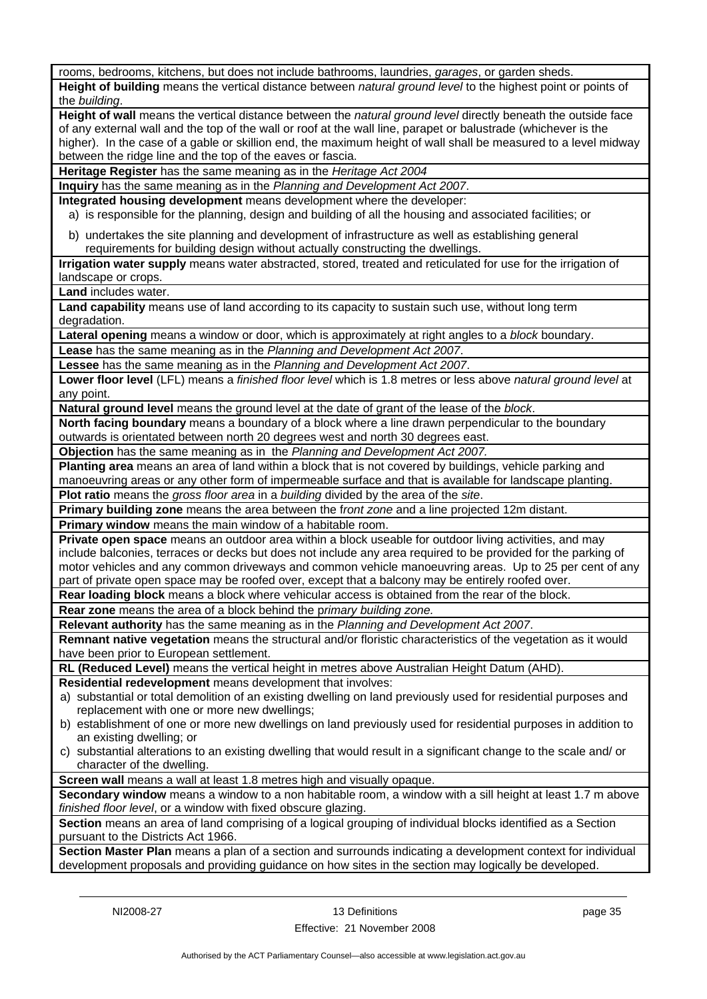| rooms, bedrooms, kitchens, but does not include bathrooms, laundries, garages, or garden sheds.                  |
|------------------------------------------------------------------------------------------------------------------|
| Height of building means the vertical distance between natural ground level to the highest point or points of    |
| the building.                                                                                                    |
| Height of wall means the vertical distance between the natural ground level directly beneath the outside face    |
| of any external wall and the top of the wall or roof at the wall line, parapet or balustrade (whichever is the   |
|                                                                                                                  |
| higher). In the case of a gable or skillion end, the maximum height of wall shall be measured to a level midway  |
| between the ridge line and the top of the eaves or fascia.                                                       |
| Heritage Register has the same meaning as in the Heritage Act 2004                                               |
| Inquiry has the same meaning as in the Planning and Development Act 2007.                                        |
| Integrated housing development means development where the developer:                                            |
| a) is responsible for the planning, design and building of all the housing and associated facilities; or         |
|                                                                                                                  |
| b) undertakes the site planning and development of infrastructure as well as establishing general                |
| requirements for building design without actually constructing the dwellings.                                    |
| Irrigation water supply means water abstracted, stored, treated and reticulated for use for the irrigation of    |
| landscape or crops.                                                                                              |
| Land includes water.                                                                                             |
| Land capability means use of land according to its capacity to sustain such use, without long term               |
|                                                                                                                  |
| degradation.                                                                                                     |
| Lateral opening means a window or door, which is approximately at right angles to a block boundary.              |
| Lease has the same meaning as in the Planning and Development Act 2007.                                          |
| Lessee has the same meaning as in the Planning and Development Act 2007.                                         |
| Lower floor level (LFL) means a finished floor level which is 1.8 metres or less above natural ground level at   |
| any point.                                                                                                       |
| Natural ground level means the ground level at the date of grant of the lease of the block.                      |
|                                                                                                                  |
| North facing boundary means a boundary of a block where a line drawn perpendicular to the boundary               |
| outwards is orientated between north 20 degrees west and north 30 degrees east.                                  |
| Objection has the same meaning as in the Planning and Development Act 2007.                                      |
| Planting area means an area of land within a block that is not covered by buildings, vehicle parking and         |
| manoeuvring areas or any other form of impermeable surface and that is available for landscape planting.         |
| Plot ratio means the gross floor area in a building divided by the area of the site.                             |
| Primary building zone means the area between the front zone and a line projected 12m distant.                    |
|                                                                                                                  |
| Primary window means the main window of a habitable room.                                                        |
| Private open space means an outdoor area within a block useable for outdoor living activities, and may           |
| include balconies, terraces or decks but does not include any area required to be provided for the parking of    |
| motor vehicles and any common driveways and common vehicle manoeuvring areas. Up to 25 per cent of any           |
| part of private open space may be roofed over, except that a balcony may be entirely roofed over.                |
| Rear loading block means a block where vehicular access is obtained from the rear of the block.                  |
| Rear zone means the area of a block behind the primary building zone.                                            |
| Relevant authority has the same meaning as in the Planning and Development Act 2007.                             |
|                                                                                                                  |
| Remnant native vegetation means the structural and/or floristic characteristics of the vegetation as it would    |
| have been prior to European settlement.                                                                          |
| RL (Reduced Level) means the vertical height in metres above Australian Height Datum (AHD).                      |
| Residential redevelopment means development that involves:                                                       |
| a) substantial or total demolition of an existing dwelling on land previously used for residential purposes and  |
| replacement with one or more new dwellings;                                                                      |
| b) establishment of one or more new dwellings on land previously used for residential purposes in addition to    |
| an existing dwelling; or                                                                                         |
| c) substantial alterations to an existing dwelling that would result in a significant change to the scale and/or |
| character of the dwelling.                                                                                       |
| Screen wall means a wall at least 1.8 metres high and visually opaque.                                           |
|                                                                                                                  |
| Secondary window means a window to a non habitable room, a window with a sill height at least 1.7 m above        |
| finished floor level, or a window with fixed obscure glazing.                                                    |
| Section means an area of land comprising of a logical grouping of individual blocks identified as a Section      |
| pursuant to the Districts Act 1966.                                                                              |
| Section Master Plan means a plan of a section and surrounds indicating a development context for individual      |
| development proposals and providing guidance on how sites in the section may logically be developed.             |
|                                                                                                                  |